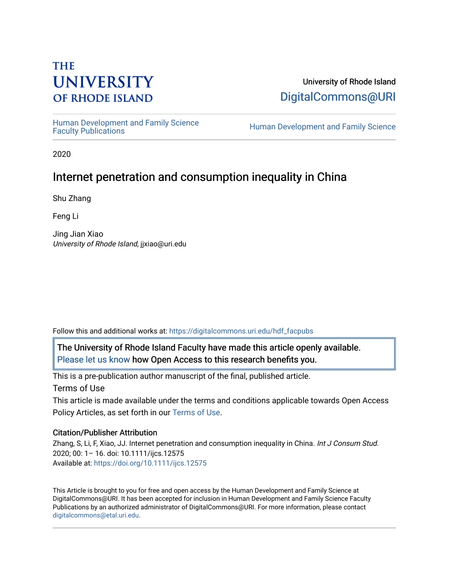# **THE UNIVERSITY OF RHODE ISLAND**

## University of Rhode Island [DigitalCommons@URI](https://digitalcommons.uri.edu/)

Human Development and Family Science<br>Faculty Publications

Human Development and Family Science

2020

## Internet penetration and consumption inequality in China

Shu Zhang

Feng Li

Jing Jian Xiao University of Rhode Island, jjxiao@uri.edu

Follow this and additional works at: [https://digitalcommons.uri.edu/hdf\\_facpubs](https://digitalcommons.uri.edu/hdf_facpubs?utm_source=digitalcommons.uri.edu%2Fhdf_facpubs%2F65&utm_medium=PDF&utm_campaign=PDFCoverPages) 

The University of Rhode Island Faculty have made this article openly available. [Please let us know](http://web.uri.edu/library-digital-initiatives/open-access-online-form/) how Open Access to this research benefits you.

This is a pre-publication author manuscript of the final, published article. Terms of Use

This article is made available under the terms and conditions applicable towards Open Access Policy Articles, as set forth in our [Terms of Use](https://digitalcommons.uri.edu/hdf_facpubs/oa_policy_terms.html).

#### Citation/Publisher Attribution

Zhang, S, Li, F, Xiao, JJ. Internet penetration and consumption inequality in China. Int J Consum Stud. 2020; 00: 1– 16. doi: 10.1111/ijcs.12575 Available at:<https://doi.org/10.1111/ijcs.12575>

This Article is brought to you for free and open access by the Human Development and Family Science at DigitalCommons@URI. It has been accepted for inclusion in Human Development and Family Science Faculty Publications by an authorized administrator of DigitalCommons@URI. For more information, please contact [digitalcommons@etal.uri.edu](mailto:digitalcommons@etal.uri.edu).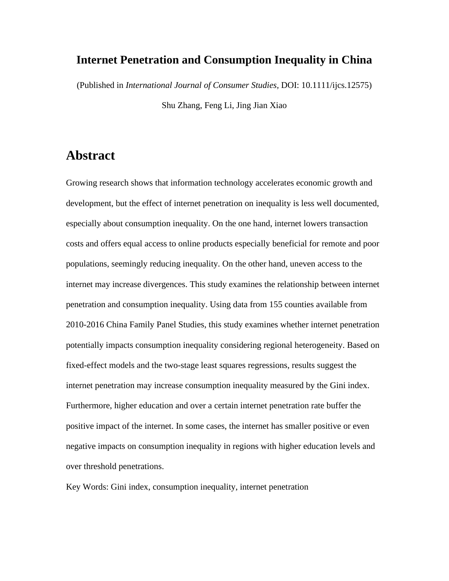### **Internet Penetration and Consumption Inequality in China**

(Published in *International Journal of Consumer Studies,* DOI: 10.1111/ijcs.12575)

Shu Zhang, Feng Li, Jing Jian Xiao

## **Abstract**

Growing research shows that information technology accelerates economic growth and development, but the effect of internet penetration on inequality is less well documented, especially about consumption inequality. On the one hand, internet lowers transaction costs and offers equal access to online products especially beneficial for remote and poor populations, seemingly reducing inequality. On the other hand, uneven access to the internet may increase divergences. This study examines the relationship between internet penetration and consumption inequality. Using data from 155 counties available from 2010-2016 China Family Panel Studies, this study examines whether internet penetration potentially impacts consumption inequality considering regional heterogeneity. Based on fixed-effect models and the two-stage least squares regressions, results suggest the internet penetration may increase consumption inequality measured by the Gini index. Furthermore, higher education and over a certain internet penetration rate buffer the positive impact of the internet. In some cases, the internet has smaller positive or even negative impacts on consumption inequality in regions with higher education levels and over threshold penetrations.

Key Words: Gini index, consumption inequality, internet penetration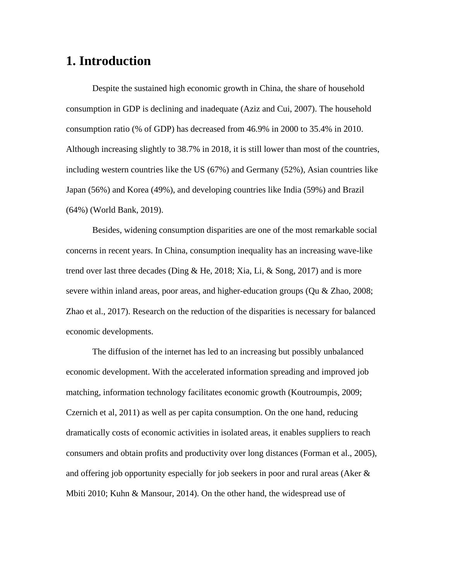### **1. Introduction**

Despite the sustained high economic growth in China, the share of household consumption in GDP is declining and inadequate (Aziz and Cui, 2007). The household consumption ratio (% of GDP) has decreased from 46.9% in 2000 to 35.4% in 2010. Although increasing slightly to 38.7% in 2018, it is still lower than most of the countries, including western countries like the US (67%) and Germany (52%), Asian countries like Japan (56%) and Korea (49%), and developing countries like India (59%) and Brazil (64%) (World Bank, 2019).

Besides, widening consumption disparities are one of the most remarkable social concerns in recent years. In China, consumption inequality has an increasing wave-like trend over last three decades (Ding  $\&$  He, 2018; Xia, Li,  $\&$  Song, 2017) and is more severe within inland areas, poor areas, and higher-education groups (Qu & Zhao, 2008; Zhao et al., 2017). Research on the reduction of the disparities is necessary for balanced economic developments.

The diffusion of the internet has led to an increasing but possibly unbalanced economic development. With the accelerated information spreading and improved job matching, information technology facilitates economic growth (Koutroumpis, 2009; Czernich et al, 2011) as well as per capita consumption. On the one hand, reducing dramatically costs of economic activities in isolated areas, it enables suppliers to reach consumers and obtain profits and productivity over long distances (Forman et al., 2005), and offering job opportunity especially for job seekers in poor and rural areas (Aker & Mbiti 2010; Kuhn & Mansour, 2014). On the other hand, the widespread use of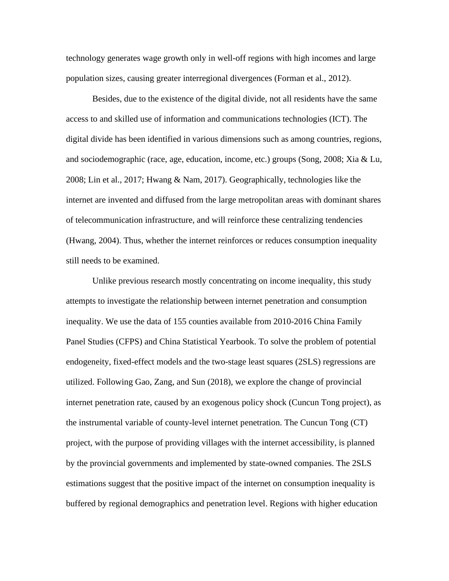technology generates wage growth only in well-off regions with high incomes and large population sizes, causing greater interregional divergences (Forman et al., 2012).

Besides, due to the existence of the digital divide, not all residents have the same access to and skilled use of information and communications technologies (ICT). The digital divide has been identified in various dimensions such as among countries, regions, and sociodemographic (race, age, education, income, etc.) groups (Song, 2008; Xia & Lu, 2008; Lin et al., 2017; Hwang & Nam, 2017). Geographically, technologies like the internet are invented and diffused from the large metropolitan areas with dominant shares of telecommunication infrastructure, and will reinforce these centralizing tendencies (Hwang, 2004). Thus, whether the internet reinforces or reduces consumption inequality still needs to be examined.

Unlike previous research mostly concentrating on income inequality, this study attempts to investigate the relationship between internet penetration and consumption inequality. We use the data of 155 counties available from 2010-2016 China Family Panel Studies (CFPS) and China Statistical Yearbook. To solve the problem of potential endogeneity, fixed-effect models and the two-stage least squares (2SLS) regressions are utilized. Following Gao, Zang, and Sun (2018), we explore the change of provincial internet penetration rate, caused by an exogenous policy shock (Cuncun Tong project), as the instrumental variable of county-level internet penetration. The Cuncun Tong (CT) project, with the purpose of providing villages with the internet accessibility, is planned by the provincial governments and implemented by state-owned companies. The 2SLS estimations suggest that the positive impact of the internet on consumption inequality is buffered by regional demographics and penetration level. Regions with higher education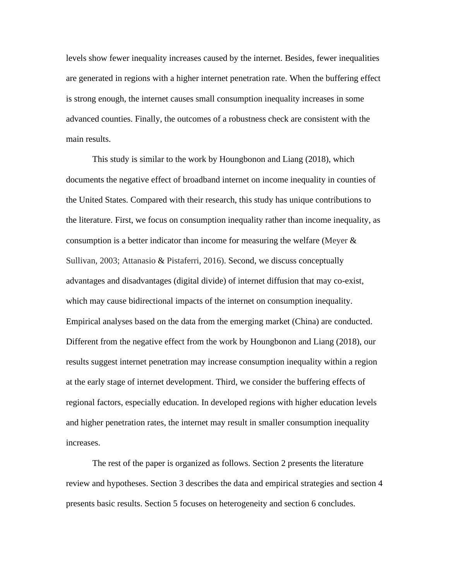levels show fewer inequality increases caused by the internet. Besides, fewer inequalities are generated in regions with a higher internet penetration rate. When the buffering effect is strong enough, the internet causes small consumption inequality increases in some advanced counties. Finally, the outcomes of a robustness check are consistent with the main results.

This study is similar to the work by Houngbonon and Liang (2018), which documents the negative effect of broadband internet on income inequality in counties of the United States. Compared with their research, this study has unique contributions to the literature. First, we focus on consumption inequality rather than income inequality, as consumption is a better indicator than income for measuring the welfare (Meyer  $\&$ Sullivan, 2003; Attanasio & Pistaferri, 2016). Second, we discuss conceptually advantages and disadvantages (digital divide) of internet diffusion that may co-exist, which may cause bidirectional impacts of the internet on consumption inequality. Empirical analyses based on the data from the emerging market (China) are conducted. Different from the negative effect from the work by Houngbonon and Liang (2018), our results suggest internet penetration may increase consumption inequality within a region at the early stage of internet development. Third, we consider the buffering effects of regional factors, especially education. In developed regions with higher education levels and higher penetration rates, the internet may result in smaller consumption inequality increases.

The rest of the paper is organized as follows. Section 2 presents the literature review and hypotheses. Section 3 describes the data and empirical strategies and section 4 presents basic results. Section 5 focuses on heterogeneity and section 6 concludes.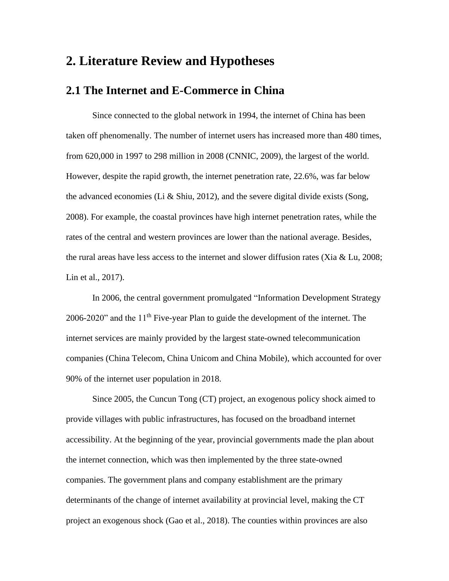### **2. Literature Review and Hypotheses**

### **2.1 The Internet and E-Commerce in China**

Since connected to the global network in 1994, the internet of China has been taken off phenomenally. The number of internet users has increased more than 480 times, from 620,000 in 1997 to 298 million in 2008 (CNNIC, 2009), the largest of the world. However, despite the rapid growth, the internet penetration rate, 22.6%, was far below the advanced economies (Li & Shiu, 2012), and the severe digital divide exists (Song, 2008). For example, the coastal provinces have high internet penetration rates, while the rates of the central and western provinces are lower than the national average. Besides, the rural areas have less access to the internet and slower diffusion rates (Xia & Lu, 2008; Lin et al., 2017).

In 2006, the central government promulgated "Information Development Strategy 2006-2020" and the 11<sup>th</sup> Five-year Plan to guide the development of the internet. The internet services are mainly provided by the largest state-owned telecommunication companies (China Telecom, China Unicom and China Mobile), which accounted for over 90% of the internet user population in 2018.

Since 2005, the Cuncun Tong (CT) project, an exogenous policy shock aimed to provide villages with public infrastructures, has focused on the broadband internet accessibility. At the beginning of the year, provincial governments made the plan about the internet connection, which was then implemented by the three state-owned companies. The government plans and company establishment are the primary determinants of the change of internet availability at provincial level, making the CT project an exogenous shock (Gao et al., 2018). The counties within provinces are also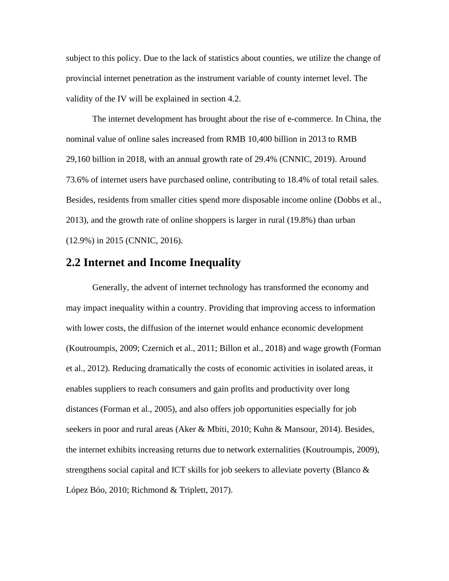subject to this policy. Due to the lack of statistics about counties, we utilize the change of provincial internet penetration as the instrument variable of county internet level. The validity of the IV will be explained in section 4.2.

The internet development has brought about the rise of e-commerce. In China, the nominal value of online sales increased from RMB 10,400 billion in 2013 to RMB 29,160 billion in 2018, with an annual growth rate of 29.4% (CNNIC, 2019). Around 73.6% of internet users have purchased online, contributing to 18.4% of total retail sales. Besides, residents from smaller cities spend more disposable income online (Dobbs et al., 2013), and the growth rate of online shoppers is larger in rural (19.8%) than urban (12.9%) in 2015 (CNNIC, 2016).

#### **2.2 Internet and Income Inequality**

Generally, the advent of internet technology has transformed the economy and may impact inequality within a country. Providing that improving access to information with lower costs, the diffusion of the internet would enhance economic development (Koutroumpis, 2009; Czernich et al., 2011; Billon et al., 2018) and wage growth (Forman et al., 2012). Reducing dramatically the costs of economic activities in isolated areas, it enables suppliers to reach consumers and gain profits and productivity over long distances (Forman et al., 2005), and also offers job opportunities especially for job seekers in poor and rural areas (Aker & Mbiti, 2010; Kuhn & Mansour, 2014). Besides, the internet exhibits increasing returns due to network externalities (Koutroumpis, 2009), strengthens social capital and ICT skills for job seekers to alleviate poverty (Blanco & López Bóo, 2010; Richmond & Triplett, 2017).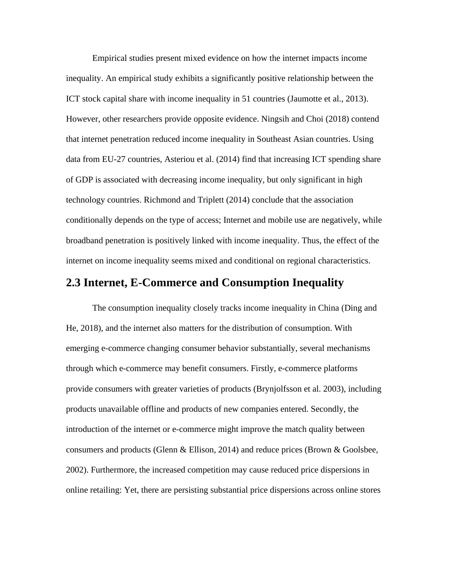Empirical studies present mixed evidence on how the internet impacts income inequality. An empirical study exhibits a significantly positive relationship between the ICT stock capital share with income inequality in 51 countries (Jaumotte et al., 2013). However, other researchers provide opposite evidence. Ningsih and Choi (2018) contend that internet penetration reduced income inequality in Southeast Asian countries. Using data from EU-27 countries, Asteriou et al. (2014) find that increasing ICT spending share of GDP is associated with decreasing income inequality, but only significant in high technology countries. Richmond and Triplett (2014) conclude that the association conditionally depends on the type of access; Internet and mobile use are negatively, while broadband penetration is positively linked with income inequality. Thus, the effect of the internet on income inequality seems mixed and conditional on regional characteristics.

#### **2.3 Internet, E-Commerce and Consumption Inequality**

The consumption inequality closely tracks income inequality in China (Ding and He, 2018), and the internet also matters for the distribution of consumption. With emerging e-commerce changing consumer behavior substantially, several mechanisms through which e-commerce may benefit consumers. Firstly, e-commerce platforms provide consumers with greater varieties of products (Brynjolfsson et al. 2003), including products unavailable offline and products of new companies entered. Secondly, the introduction of the internet or e-commerce might improve the match quality between consumers and products (Glenn & Ellison, 2014) and reduce prices (Brown & Goolsbee, 2002). Furthermore, the increased competition may cause reduced price dispersions in online retailing: Yet, there are persisting substantial price dispersions across online stores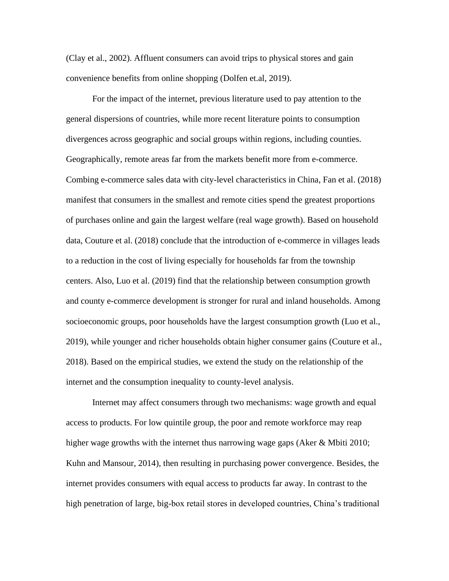(Clay et al., 2002). Affluent consumers can avoid trips to physical stores and gain convenience benefits from online shopping (Dolfen et.al, 2019).

For the impact of the internet, previous literature used to pay attention to the general dispersions of countries, while more recent literature points to consumption divergences across geographic and social groups within regions, including counties. Geographically, remote areas far from the markets benefit more from e-commerce. Combing e-commerce sales data with city-level characteristics in China, Fan et al. (2018) manifest that consumers in the smallest and remote cities spend the greatest proportions of purchases online and gain the largest welfare (real wage growth). Based on household data, Couture et al. (2018) conclude that the introduction of e-commerce in villages leads to a reduction in the cost of living especially for households far from the township centers. Also, Luo et al. (2019) find that the relationship between consumption growth and county e-commerce development is stronger for rural and inland households. Among socioeconomic groups, poor households have the largest consumption growth (Luo et al., 2019), while younger and richer households obtain higher consumer gains (Couture et al., 2018). Based on the empirical studies, we extend the study on the relationship of the internet and the consumption inequality to county-level analysis.

Internet may affect consumers through two mechanisms: wage growth and equal access to products. For low quintile group, the poor and remote workforce may reap higher wage growths with the internet thus narrowing wage gaps (Aker & Mbiti 2010; Kuhn and Mansour, 2014), then resulting in purchasing power convergence. Besides, the internet provides consumers with equal access to products far away. In contrast to the high penetration of large, big-box retail stores in developed countries, China's traditional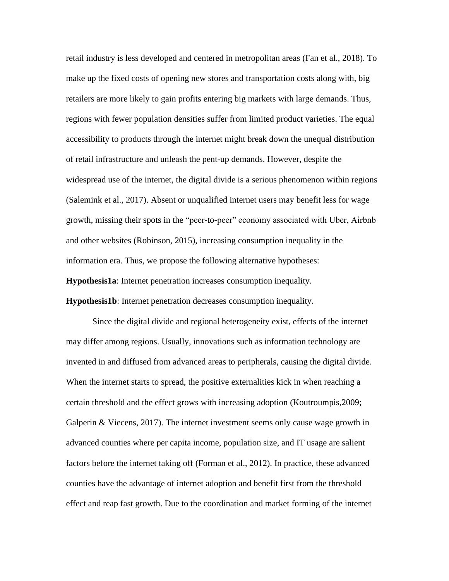retail industry is less developed and centered in metropolitan areas (Fan et al., 2018). To make up the fixed costs of opening new stores and transportation costs along with, big retailers are more likely to gain profits entering big markets with large demands. Thus, regions with fewer population densities suffer from limited product varieties. The equal accessibility to products through the internet might break down the unequal distribution of retail infrastructure and unleash the pent-up demands. However, despite the widespread use of the internet, the digital divide is a serious phenomenon within regions (Salemink et al., 2017). Absent or unqualified internet users may benefit less for wage growth, missing their spots in the "peer-to-peer" economy associated with Uber, Airbnb and other websites (Robinson, 2015), increasing consumption inequality in the information era. Thus, we propose the following alternative hypotheses:

**Hypothesis1a**: Internet penetration increases consumption inequality.

**Hypothesis1b**: Internet penetration decreases consumption inequality.

Since the digital divide and regional heterogeneity exist, effects of the internet may differ among regions. Usually, innovations such as information technology are invented in and diffused from advanced areas to peripherals, causing the digital divide. When the internet starts to spread, the positive externalities kick in when reaching a certain threshold and the effect grows with increasing adoption (Koutroumpis,2009; Galperin  $\&$  Viecens, 2017). The internet investment seems only cause wage growth in advanced counties where per capita income, population size, and IT usage are salient factors before the internet taking off (Forman et al., 2012). In practice, these advanced counties have the advantage of internet adoption and benefit first from the threshold effect and reap fast growth. Due to the coordination and market forming of the internet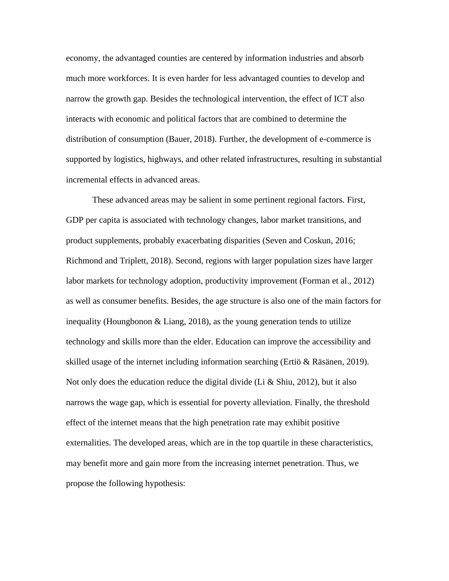economy, the advantaged counties are centered by information industries and absorb much more workforces. It is even harder for less advantaged counties to develop and narrow the growth gap. Besides the technological intervention, the effect of ICT also interacts with economic and political factors that are combined to determine the distribution of consumption (Bauer, 2018). Further, the development of e-commerce is supported by logistics, highways, and other related infrastructures, resulting in substantial incremental effects in advanced areas.

These advanced areas may be salient in some pertinent regional factors. First, GDP per capita is associated with technology changes, labor market transitions, and product supplements, probably exacerbating disparities (Seven and Coskun, 2016; Richmond and Triplett, 2018). Second, regions with larger population sizes have larger labor markets for technology adoption, productivity improvement (Forman et al., 2012) as well as consumer benefits. Besides, the age structure is also one of the main factors for inequality (Houngbonon  $&$  Liang, 2018), as the young generation tends to utilize technology and skills more than the elder. Education can improve the accessibility and skilled usage of the internet including information searching (Ertiö & Räsänen, 2019). Not only does the education reduce the digital divide (Li & Shiu, 2012), but it also narrows the wage gap, which is essential for poverty alleviation. Finally, the threshold effect of the internet means that the high penetration rate may exhibit positive externalities. The developed areas, which are in the top quartile in these characteristics, may benefit more and gain more from the increasing internet penetration. Thus, we propose the following hypothesis: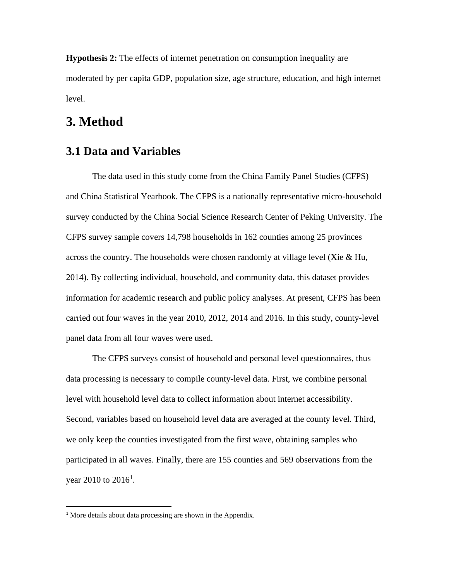**Hypothesis 2:** The effects of internet penetration on consumption inequality are moderated by per capita GDP, population size, age structure, education, and high internet level.

### **3. Method**

### **3.1 Data and Variables**

The data used in this study come from the China Family Panel Studies (CFPS) and China Statistical Yearbook. The CFPS is a nationally representative micro-household survey conducted by the China Social Science Research Center of Peking University. The CFPS survey sample covers 14,798 households in 162 counties among 25 provinces across the country. The households were chosen randomly at village level (Xie & Hu, 2014). By collecting individual, household, and community data, this dataset provides information for academic research and public policy analyses. At present, CFPS has been carried out four waves in the year 2010, 2012, 2014 and 2016. In this study, county-level panel data from all four waves were used.

The CFPS surveys consist of household and personal level questionnaires, thus data processing is necessary to compile county-level data. First, we combine personal level with household level data to collect information about internet accessibility. Second, variables based on household level data are averaged at the county level. Third, we only keep the counties investigated from the first wave, obtaining samples who participated in all waves. Finally, there are 155 counties and 569 observations from the year 2010 to  $2016^1$ .

<sup>&</sup>lt;sup>1</sup> More details about data processing are shown in the Appendix.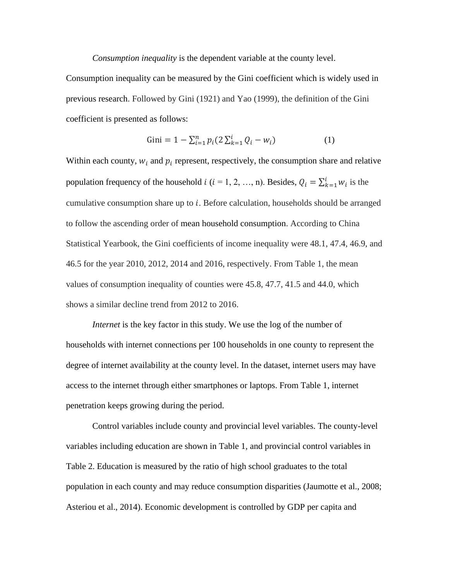*Consumption inequality* is the dependent variable at the county level.

Consumption inequality can be measured by the Gini coefficient which is widely used in previous research. Followed by Gini (1921) and Yao (1999), the definition of the Gini coefficient is presented as follows:

Gini = 
$$
1 - \sum_{i=1}^{n} p_i (2 \sum_{k=1}^{i} Q_i - w_i)
$$
 (1)

Within each county,  $w_i$  and  $p_i$  represent, respectively, the consumption share and relative population frequency of the household  $i$  ( $i = 1, 2, ..., n$ ). Besides,  $Q_i = \sum_{k=1}^{i} w_i$  is the cumulative consumption share up to  $i$ . Before calculation, households should be arranged to follow the ascending order of mean household consumption. According to China Statistical Yearbook, the Gini coefficients of income inequality were 48.1, 47.4, 46.9, and 46.5 for the year 2010, 2012, 2014 and 2016, respectively. From Table 1, the mean values of consumption inequality of counties were 45.8, 47.7, 41.5 and 44.0, which shows a similar decline trend from 2012 to 2016.

*Internet* is the key factor in this study. We use the log of the number of households with internet connections per 100 households in one county to represent the degree of internet availability at the county level. In the dataset, internet users may have access to the internet through either smartphones or laptops. From Table 1, internet penetration keeps growing during the period.

Control variables include county and provincial level variables. The county-level variables including education are shown in Table 1, and provincial control variables in Table 2. Education is measured by the ratio of high school graduates to the total population in each county and may reduce consumption disparities (Jaumotte et al., 2008; Asteriou et al., 2014). Economic development is controlled by GDP per capita and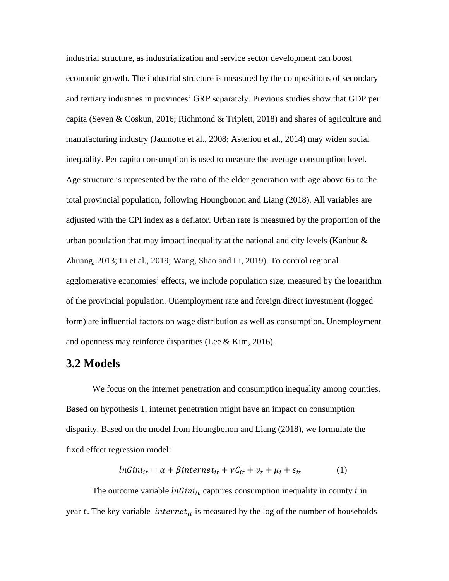industrial structure, as industrialization and service sector development can boost economic growth. The industrial structure is measured by the compositions of secondary and tertiary industries in provinces' GRP separately. Previous studies show that GDP per capita (Seven & Coskun, 2016; Richmond & Triplett, 2018) and shares of agriculture and manufacturing industry (Jaumotte et al., 2008; Asteriou et al., 2014) may widen social inequality. Per capita consumption is used to measure the average consumption level. Age structure is represented by the ratio of the elder generation with age above 65 to the total provincial population, following Houngbonon and Liang (2018). All variables are adjusted with the CPI index as a deflator. Urban rate is measured by the proportion of the urban population that may impact inequality at the national and city levels (Kanbur  $\&$ Zhuang, 2013; Li et al., 2019; Wang, Shao and Li, 2019). To control regional agglomerative economies' effects, we include population size, measured by the logarithm of the provincial population. Unemployment rate and foreign direct investment (logged form) are influential factors on wage distribution as well as consumption. Unemployment and openness may reinforce disparities (Lee & Kim, 2016).

#### **3.2 Models**

We focus on the internet penetration and consumption inequality among counties. Based on hypothesis 1, internet penetration might have an impact on consumption disparity. Based on the model from Houngbonon and Liang (2018), we formulate the fixed effect regression model:

$$
lnGini_{it} = \alpha + \beta internet_{it} + \gamma C_{it} + \nu_t + \mu_i + \varepsilon_{it}
$$
 (1)

The outcome variable  $lnGini_{it}$  captures consumption inequality in county *i* in year  $t$ . The key variable *internet<sub>it</sub>* is measured by the log of the number of households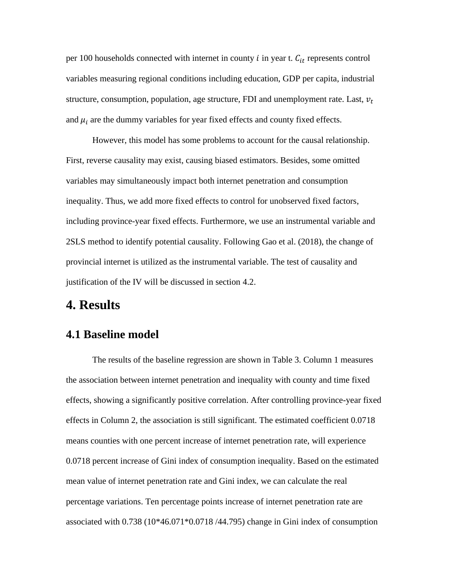per 100 households connected with internet in county  $i$  in year t.  $C_{it}$  represents control variables measuring regional conditions including education, GDP per capita, industrial structure, consumption, population, age structure, FDI and unemployment rate. Last,  $v_t$ and  $\mu_i$  are the dummy variables for year fixed effects and county fixed effects.

However, this model has some problems to account for the causal relationship. First, reverse causality may exist, causing biased estimators. Besides, some omitted variables may simultaneously impact both internet penetration and consumption inequality. Thus, we add more fixed effects to control for unobserved fixed factors, including province-year fixed effects. Furthermore, we use an instrumental variable and 2SLS method to identify potential causality. Following Gao et al. (2018), the change of provincial internet is utilized as the instrumental variable. The test of causality and justification of the IV will be discussed in section 4.2.

## **4. Results**

#### **4.1 Baseline model**

The results of the baseline regression are shown in Table 3. Column 1 measures the association between internet penetration and inequality with county and time fixed effects, showing a significantly positive correlation. After controlling province-year fixed effects in Column 2, the association is still significant. The estimated coefficient 0.0718 means counties with one percent increase of internet penetration rate, will experience 0.0718 percent increase of Gini index of consumption inequality. Based on the estimated mean value of internet penetration rate and Gini index, we can calculate the real percentage variations. Ten percentage points increase of internet penetration rate are associated with 0.738 (10\*46.071\*0.0718 /44.795) change in Gini index of consumption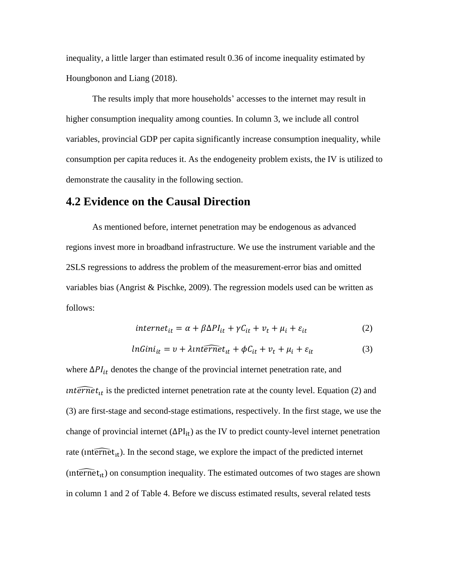inequality, a little larger than estimated result 0.36 of income inequality estimated by Houngbonon and Liang (2018).

The results imply that more households' accesses to the internet may result in higher consumption inequality among counties. In column 3, we include all control variables, provincial GDP per capita significantly increase consumption inequality, while consumption per capita reduces it. As the endogeneity problem exists, the IV is utilized to demonstrate the causality in the following section.

#### **4.2 Evidence on the Causal Direction**

As mentioned before, internet penetration may be endogenous as advanced regions invest more in broadband infrastructure. We use the instrument variable and the 2SLS regressions to address the problem of the measurement-error bias and omitted variables bias (Angrist & Pischke, 2009). The regression models used can be written as follows:

$$
internet_{it} = \alpha + \beta \Delta PI_{it} + \gamma C_{it} + \nu_t + \mu_i + \varepsilon_{it}
$$
\n<sup>(2)</sup>

$$
lnGini_{it} = v + \lambda int \widehat{ernet}_{it} + \phi C_{it} + v_t + \mu_i + \varepsilon_{it}
$$
 (3)

where  $\Delta PI_{it}$  denotes the change of the provincial internet penetration rate, and *internet<sub>it</sub>* is the predicted internet penetration rate at the county level. Equation (2) and (3) are first-stage and second-stage estimations, respectively. In the first stage, we use the change of provincial internet ( $\Delta PI_{it}$ ) as the IV to predict county-level internet penetration rate (internet<sub>it</sub>). In the second stage, we explore the impact of the predicted internet (internet<sub>it</sub>) on consumption inequality. The estimated outcomes of two stages are shown in column 1 and 2 of Table 4. Before we discuss estimated results, several related tests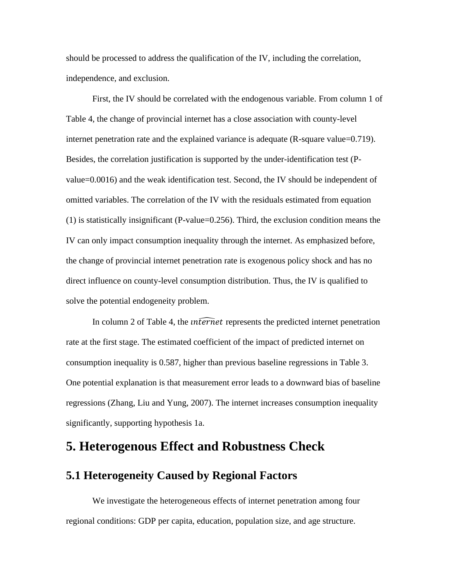should be processed to address the qualification of the IV, including the correlation, independence, and exclusion.

First, the IV should be correlated with the endogenous variable. From column 1 of Table 4, the change of provincial internet has a close association with county-level internet penetration rate and the explained variance is adequate (R-square value=0.719). Besides, the correlation justification is supported by the under-identification test (Pvalue=0.0016) and the weak identification test. Second, the IV should be independent of omitted variables. The correlation of the IV with the residuals estimated from equation (1) is statistically insignificant (P-value=0.256). Third, the exclusion condition means the IV can only impact consumption inequality through the internet. As emphasized before, the change of provincial internet penetration rate is exogenous policy shock and has no direct influence on county-level consumption distribution. Thus, the IV is qualified to solve the potential endogeneity problem.

In column 2 of Table 4, the *internet* represents the predicted internet penetration rate at the first stage. The estimated coefficient of the impact of predicted internet on consumption inequality is 0.587, higher than previous baseline regressions in Table 3. One potential explanation is that measurement error leads to a downward bias of baseline regressions (Zhang, Liu and Yung, 2007). The internet increases consumption inequality significantly, supporting hypothesis 1a.

### **5. Heterogenous Effect and Robustness Check**

### **5.1 Heterogeneity Caused by Regional Factors**

We investigate the heterogeneous effects of internet penetration among four regional conditions: GDP per capita, education, population size, and age structure.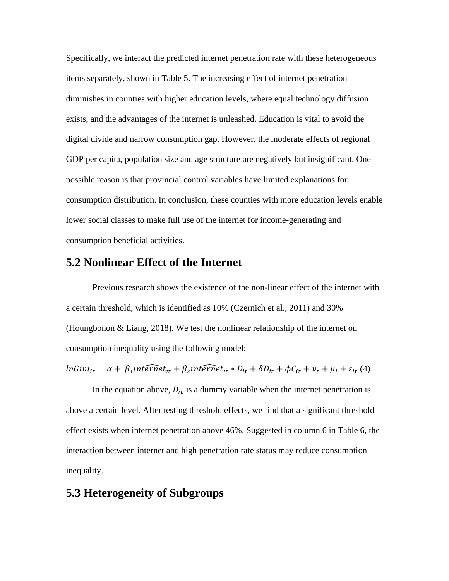Specifically, we interact the predicted internet penetration rate with these heterogeneous items separately, shown in Table 5. The increasing effect of internet penetration diminishes in counties with higher education levels, where equal technology diffusion exists, and the advantages of the internet is unleashed. Education is vital to avoid the digital divide and narrow consumption gap. However, the moderate effects of regional GDP per capita, population size and age structure are negatively but insignificant. One possible reason is that provincial control variables have limited explanations for consumption distribution. In conclusion, these counties with more education levels enable lower social classes to make full use of the internet for income-generating and consumption beneficial activities.

#### **5.2 Nonlinear Effect of the Internet**

Previous research shows the existence of the non-linear effect of the internet with a certain threshold, which is identified as 10% (Czernich et al., 2011) and 30% (Houngbonon & Liang, 2018). We test the nonlinear relationship of the internet on consumption inequality using the following model:

$$
lnGini_{it} = \alpha + \beta_1 nt \widehat{ermet}_{it} + \beta_2 nt \widehat{ermet}_{it} * D_{it} + \delta D_{it} + \phi C_{it} + \nu_t + \mu_i + \varepsilon_{it} \ (4)
$$

In the equation above,  $D_{it}$  is a dummy variable when the internet penetration is above a certain level. After testing threshold effects, we find that a significant threshold effect exists when internet penetration above 46%. Suggested in column 6 in Table 6, the interaction between internet and high penetration rate status may reduce consumption inequality.

### **5.3 Heterogeneity of Subgroups**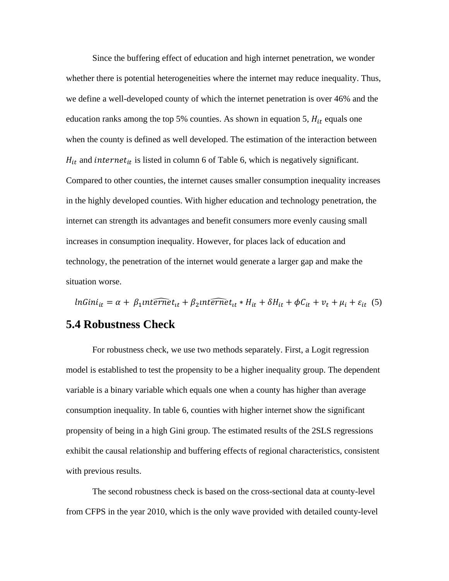Since the buffering effect of education and high internet penetration, we wonder whether there is potential heterogeneities where the internet may reduce inequality. Thus, we define a well-developed county of which the internet penetration is over 46% and the education ranks among the top 5% counties. As shown in equation 5,  $H_{it}$  equals one when the county is defined as well developed. The estimation of the interaction between  $H_{it}$  and internet<sub>it</sub> is listed in column 6 of Table 6, which is negatively significant. Compared to other counties, the internet causes smaller consumption inequality increases in the highly developed counties. With higher education and technology penetration, the internet can strength its advantages and benefit consumers more evenly causing small increases in consumption inequality. However, for places lack of education and technology, the penetration of the internet would generate a larger gap and make the situation worse.

 $ln Gini_{it} = \alpha + \beta_1$ *nternet<sub>it</sub>* +  $\beta_2$ *nternet<sub>it</sub>* \*  $H_{it} + \delta H_{it} + \phi C_{it} + \nu_t + \mu_i + \varepsilon_{it}$  (5)

#### **5.4 Robustness Check**

For robustness check, we use two methods separately. First, a Logit regression model is established to test the propensity to be a higher inequality group. The dependent variable is a binary variable which equals one when a county has higher than average consumption inequality. In table 6, counties with higher internet show the significant propensity of being in a high Gini group. The estimated results of the 2SLS regressions exhibit the causal relationship and buffering effects of regional characteristics, consistent with previous results.

The second robustness check is based on the cross-sectional data at county-level from CFPS in the year 2010, which is the only wave provided with detailed county-level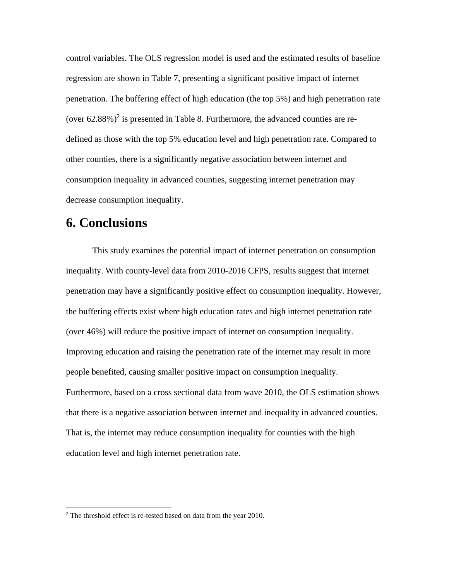control variables. The OLS regression model is used and the estimated results of baseline regression are shown in Table 7, presenting a significant positive impact of internet penetration. The buffering effect of high education (the top 5%) and high penetration rate (over  $62.88\%$ )<sup>2</sup> is presented in Table 8. Furthermore, the advanced counties are redefined as those with the top 5% education level and high penetration rate. Compared to other counties, there is a significantly negative association between internet and consumption inequality in advanced counties, suggesting internet penetration may decrease consumption inequality.

### **6. Conclusions**

This study examines the potential impact of internet penetration on consumption inequality. With county-level data from 2010-2016 CFPS, results suggest that internet penetration may have a significantly positive effect on consumption inequality. However, the buffering effects exist where high education rates and high internet penetration rate (over 46%) will reduce the positive impact of internet on consumption inequality. Improving education and raising the penetration rate of the internet may result in more people benefited, causing smaller positive impact on consumption inequality. Furthermore, based on a cross sectional data from wave 2010, the OLS estimation shows that there is a negative association between internet and inequality in advanced counties. That is, the internet may reduce consumption inequality for counties with the high education level and high internet penetration rate.

 $2$  The threshold effect is re-tested based on data from the year 2010.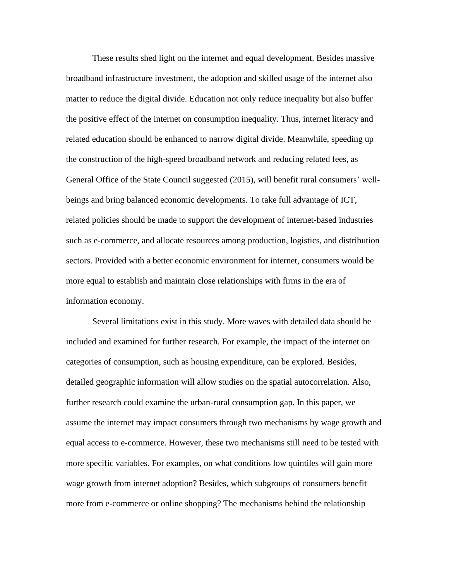These results shed light on the internet and equal development. Besides massive broadband infrastructure investment, the adoption and skilled usage of the internet also matter to reduce the digital divide. Education not only reduce inequality but also buffer the positive effect of the internet on consumption inequality. Thus, internet literacy and related education should be enhanced to narrow digital divide. Meanwhile, speeding up the construction of the high-speed broadband network and reducing related fees, as General Office of the State Council suggested (2015), will benefit rural consumers' wellbeings and bring balanced economic developments. To take full advantage of ICT, related policies should be made to support the development of internet-based industries such as e-commerce, and allocate resources among production, logistics, and distribution sectors. Provided with a better economic environment for internet, consumers would be more equal to establish and maintain close relationships with firms in the era of information economy.

Several limitations exist in this study. More waves with detailed data should be included and examined for further research. For example, the impact of the internet on categories of consumption, such as housing expenditure, can be explored. Besides, detailed geographic information will allow studies on the spatial autocorrelation. Also, further research could examine the urban-rural consumption gap. In this paper, we assume the internet may impact consumers through two mechanisms by wage growth and equal access to e-commerce. However, these two mechanisms still need to be tested with more specific variables. For examples, on what conditions low quintiles will gain more wage growth from internet adoption? Besides, which subgroups of consumers benefit more from e-commerce or online shopping? The mechanisms behind the relationship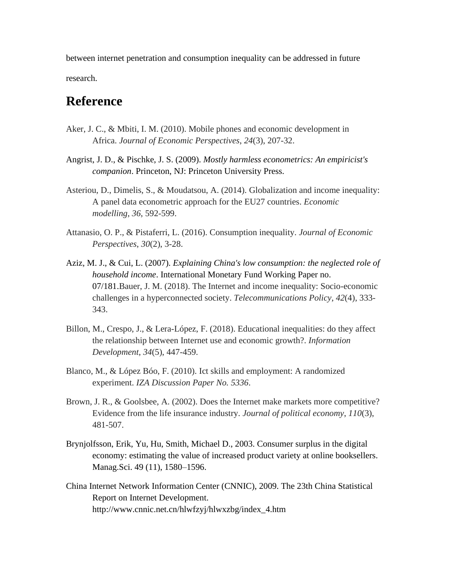between internet penetration and consumption inequality can be addressed in future research.

## **Reference**

- Aker, J. C., & Mbiti, I. M. (2010). Mobile phones and economic development in Africa. *Journal of Economic Perspectives*, *24*(3), 207-32.
- Angrist, J. D., & Pischke, J. S. (2009). *Mostly harmless econometrics: An empiricist's companion*. Princeton, NJ: Princeton University Press.
- Asteriou, D., Dimelis, S., & Moudatsou, A. (2014). Globalization and income inequality: A panel data econometric approach for the EU27 countries. *Economic modelling*, *36*, 592-599.
- Attanasio, O. P., & Pistaferri, L. (2016). Consumption inequality. *Journal of Economic Perspectives*, *30*(2), 3-28.
- Aziz, M. J., & Cui, L. (2007). *Explaining China's low consumption: the neglected role of household income*. International Monetary Fund Working Paper no. 07/181.Bauer, J. M. (2018). The Internet and income inequality: Socio-economic challenges in a hyperconnected society. *Telecommunications Policy*, *42*(4), 333- 343.
- Billon, M., Crespo, J., & Lera-López, F. (2018). Educational inequalities: do they affect the relationship between Internet use and economic growth?. *Information Development*, *34*(5), 447-459.
- Blanco, M., & López Bóo, F. (2010). Ict skills and employment: A randomized experiment. *IZA Discussion Paper No. 5336*.
- Brown, J. R., & Goolsbee, A. (2002). Does the Internet make markets more competitive? Evidence from the life insurance industry. *Journal of political economy*, *110*(3), 481-507.
- Brynjolfsson, Erik, Yu, Hu, Smith, Michael D., 2003. Consumer surplus in the digital economy: estimating the value of increased product variety at online booksellers. Manag.Sci. 49 (11), 1580–1596.
- China Internet Network Information Center (CNNIC), 2009. The 23th China Statistical Report on Internet Development. http://www.cnnic.net.cn/hlwfzyj/hlwxzbg/index\_4.htm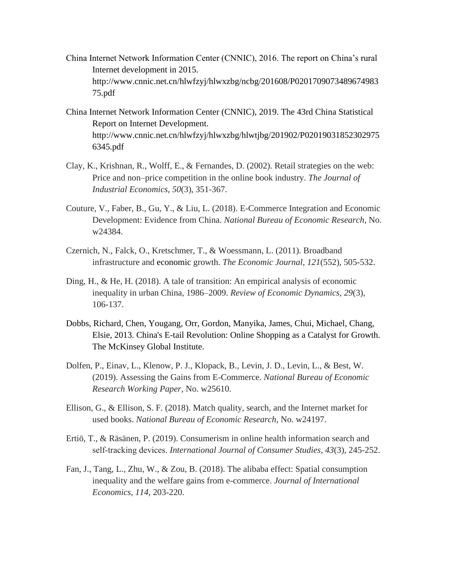- China Internet Network Information Center (CNNIC), 2016. The report on China's rural Internet development in 2015. http://www.cnnic.net.cn/hlwfzyj/hlwxzbg/ncbg/201608/P0201709073489674983 75.pdf
- China Internet Network Information Center (CNNIC), 2019. The 43rd China Statistical Report on Internet Development. http://www.cnnic.net.cn/hlwfzyj/hlwxzbg/hlwtjbg/201902/P02019031852302975 6345.pdf
- Clay, K., Krishnan, R., Wolff, E., & Fernandes, D. (2002). Retail strategies on the web: Price and non–price competition in the online book industry. *The Journal of Industrial Economics*, *50*(3), 351-367.
- Couture, V., Faber, B., Gu, Y., & Liu, L. (2018). E-Commerce Integration and Economic Development: Evidence from China. *National Bureau of Economic Research*, No. w24384.
- Czernich, N., Falck, O., Kretschmer, T., & Woessmann, L. (2011). Broadband infrastructure and economic growth. *The Economic Journal*, *121*(552), 505-532.
- Ding, H., & He, H. (2018). A tale of transition: An empirical analysis of economic inequality in urban China, 1986–2009. *Review of Economic Dynamics*, *29*(3), 106-137.
- Dobbs, Richard, Chen, Yougang, Orr, Gordon, Manyika, James, Chui, Michael, Chang, Elsie, 2013. China's E-tail Revolution: Online Shopping as a Catalyst for Growth. The McKinsey Global Institute.
- Dolfen, P., Einav, L., Klenow, P. J., Klopack, B., Levin, J. D., Levin, L., & Best, W. (2019). Assessing the Gains from E-Commerce. *National Bureau of Economic Research Working Paper*, No. w25610.
- Ellison, G., & Ellison, S. F. (2018). Match quality, search, and the Internet market for used books. *National Bureau of Economic Research*, No. w24197.
- Ertiö, T., & Räsänen, P. (2019). Consumerism in online health information search and self‐tracking devices. *International Journal of Consumer Studies*, *43*(3), 245-252.
- Fan, J., Tang, L., Zhu, W., & Zou, B. (2018). The alibaba effect: Spatial consumption inequality and the welfare gains from e-commerce. *Journal of International Economics*, *114*, 203-220.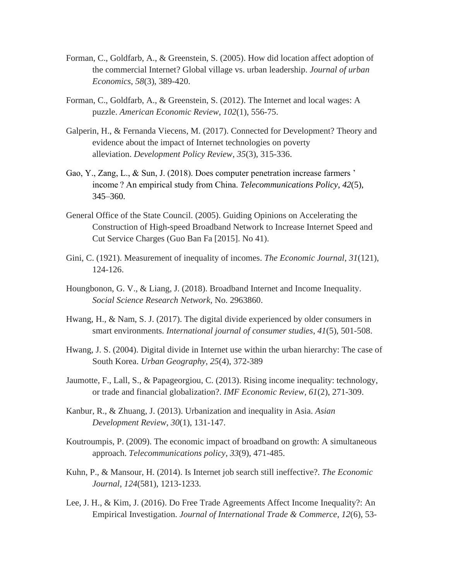- Forman, C., Goldfarb, A., & Greenstein, S. (2005). How did location affect adoption of the commercial Internet? Global village vs. urban leadership. *Journal of urban Economics*, *58*(3), 389-420.
- Forman, C., Goldfarb, A., & Greenstein, S. (2012). The Internet and local wages: A puzzle. *American Economic Review*, *102*(1), 556-75.
- Galperin, H., & Fernanda Viecens, M. (2017). Connected for Development? Theory and evidence about the impact of Internet technologies on poverty alleviation. *Development Policy Review*, *35*(3), 315-336.
- Gao, Y., Zang, L., & Sun, J. (2018). Does computer penetration increase farmers ' income ? An empirical study from China. *Telecommunications Policy*, *42*(5), 345–360.
- General Office of the State Council. (2005). Guiding Opinions on Accelerating the Construction of High-speed Broadband Network to Increase Internet Speed and Cut Service Charges (Guo Ban Fa [2015]. No 41).
- Gini, C. (1921). Measurement of inequality of incomes. *The Economic Journal*, *31*(121), 124-126.
- Houngbonon, G. V., & Liang, J. (2018). Broadband Internet and Income Inequality. *Social Science Research Network,* No. 2963860.
- Hwang, H., & Nam, S. J. (2017). The digital divide experienced by older consumers in smart environments. *International journal of consumer studies*, *41*(5), 501-508.
- Hwang, J. S. (2004). Digital divide in Internet use within the urban hierarchy: The case of South Korea. *Urban Geography*, *25*(4), 372-389
- Jaumotte, F., Lall, S., & Papageorgiou, C. (2013). Rising income inequality: technology, or trade and financial globalization?. *IMF Economic Review*, *61*(2), 271-309.
- Kanbur, R., & Zhuang, J. (2013). Urbanization and inequality in Asia. *Asian Development Review*, *30*(1), 131-147.
- Koutroumpis, P. (2009). The economic impact of broadband on growth: A simultaneous approach. *Telecommunications policy*, *33*(9), 471-485.
- Kuhn, P., & Mansour, H. (2014). Is Internet job search still ineffective?. *The Economic Journal*, *124*(581), 1213-1233.
- Lee, J. H., & Kim, J. (2016). Do Free Trade Agreements Affect Income Inequality?: An Empirical Investigation. *Journal of International Trade & Commerce*, *12*(6), 53-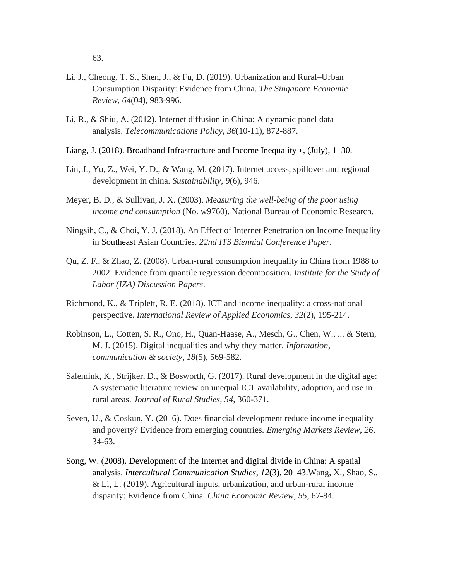63.

- Li, J., Cheong, T. S., Shen, J., & Fu, D. (2019). Urbanization and Rural–Urban Consumption Disparity: Evidence from China. *The Singapore Economic Review*, *64*(04), 983-996.
- Li, R., & Shiu, A. (2012). Internet diffusion in China: A dynamic panel data analysis. *Telecommunications Policy*, *36*(10-11), 872-887.
- Liang, J. (2018). Broadband Infrastructure and Income Inequality ∗, (July), 1–30.
- Lin, J., Yu, Z., Wei, Y. D., & Wang, M. (2017). Internet access, spillover and regional development in china. *Sustainability*, *9*(6), 946.
- Meyer, B. D., & Sullivan, J. X. (2003). *Measuring the well-being of the poor using income and consumption* (No. w9760). National Bureau of Economic Research.
- Ningsih, C., & Choi, Y. J. (2018). An Effect of Internet Penetration on Income Inequality in Southeast Asian Countries. *22nd ITS Biennial Conference Paper.*
- Qu, Z. F., & Zhao, Z. (2008). Urban-rural consumption inequality in China from 1988 to 2002: Evidence from quantile regression decomposition. *Institute for the Study of Labor (IZA) Discussion Papers*.
- Richmond, K., & Triplett, R. E. (2018). ICT and income inequality: a cross-national perspective. *International Review of Applied Economics*, *32*(2), 195-214.
- Robinson, L., Cotten, S. R., Ono, H., Quan-Haase, A., Mesch, G., Chen, W., ... & Stern, M. J. (2015). Digital inequalities and why they matter. *Information, communication & society*, *18*(5), 569-582.
- Salemink, K., Strijker, D., & Bosworth, G. (2017). Rural development in the digital age: A systematic literature review on unequal ICT availability, adoption, and use in rural areas. *Journal of Rural Studies*, *54*, 360-371.
- Seven, U., & Coskun, Y. (2016). Does financial development reduce income inequality and poverty? Evidence from emerging countries. *Emerging Markets Review*, *26*, 34-63.
- Song, W. (2008). Development of the Internet and digital divide in China: A spatial analysis. *Intercultural Communication Studies*, *12*(3), 20–43.Wang, X., Shao, S., & Li, L. (2019). Agricultural inputs, urbanization, and urban-rural income disparity: Evidence from China. *China Economic Review*, *55*, 67-84.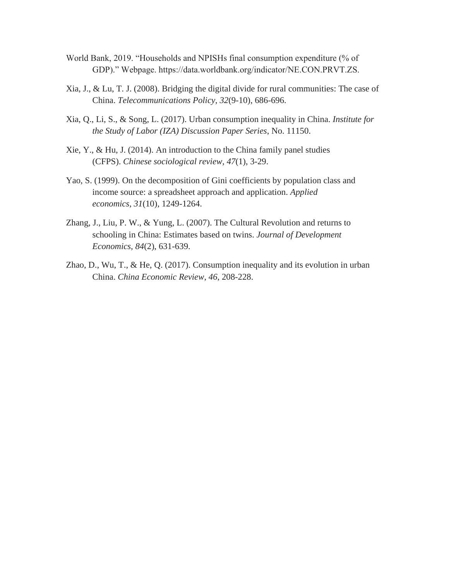- World Bank, 2019. "Households and NPISHs final consumption expenditure (% of GDP)." Webpage. https://data.worldbank.org/indicator/NE.CON.PRVT.ZS.
- Xia, J., & Lu, T. J. (2008). Bridging the digital divide for rural communities: The case of China. *Telecommunications Policy*, *32*(9-10), 686-696.
- Xia, Q., Li, S., & Song, L. (2017). Urban consumption inequality in China. *Institute for the Study of Labor (IZA) Discussion Paper Series*, No. 11150.
- Xie, Y., & Hu, J. (2014). An introduction to the China family panel studies (CFPS). *Chinese sociological review*, *47*(1), 3-29.
- Yao, S. (1999). On the decomposition of Gini coefficients by population class and income source: a spreadsheet approach and application. *Applied economics*, *31*(10), 1249-1264.
- Zhang, J., Liu, P. W., & Yung, L. (2007). The Cultural Revolution and returns to schooling in China: Estimates based on twins. *Journal of Development Economics*, *84*(2), 631-639.
- Zhao, D., Wu, T., & He, Q. (2017). Consumption inequality and its evolution in urban China. *China Economic Review*, *46*, 208-228.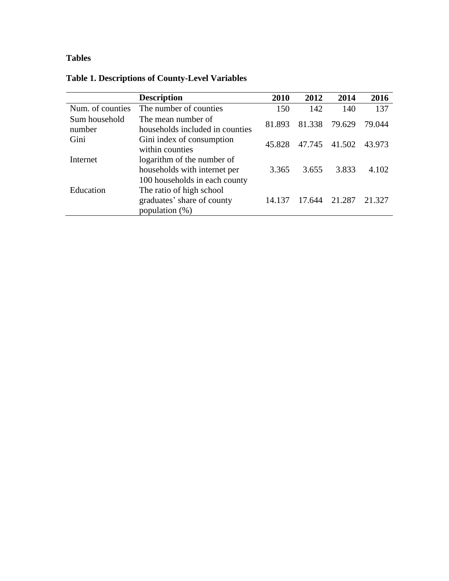### **Tables**

| <b>Table 1. Descriptions of County-Level Variables</b> |  |
|--------------------------------------------------------|--|
|                                                        |  |

|                         | <b>Description</b>                                                                          | 2010   | 2012   | 2014   | 2016   |
|-------------------------|---------------------------------------------------------------------------------------------|--------|--------|--------|--------|
| Num. of counties        | The number of counties                                                                      | 150    | 142    | 140    | 137    |
| Sum household<br>number | The mean number of<br>households included in counties                                       | 81.893 | 81.338 | 79.629 | 79.044 |
| Gini                    | Gini index of consumption<br>within counties                                                | 45.828 | 47.745 | 41.502 | 43.973 |
| Internet                | logarithm of the number of<br>households with internet per<br>100 households in each county | 3.365  | 3.655  | 3.833  | 4.102  |
| Education               | The ratio of high school<br>graduates' share of county<br>population $(\%)$                 | 14.137 | 17.644 | 21.287 | 21.327 |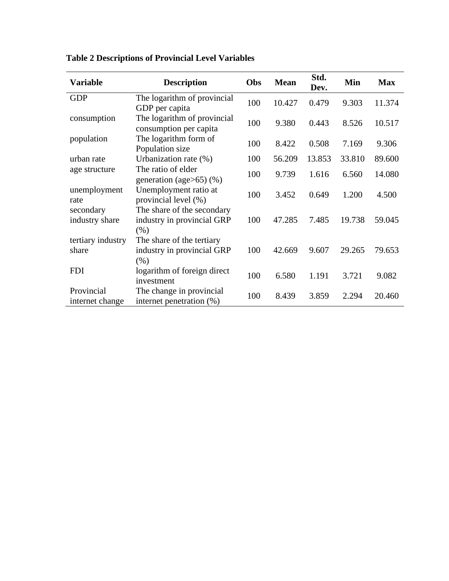| <b>Variable</b>               | <b>Description</b>                                               | Obs | <b>Mean</b> | Std.<br>Dev. | Min    | <b>Max</b> |
|-------------------------------|------------------------------------------------------------------|-----|-------------|--------------|--------|------------|
| <b>GDP</b>                    | The logarithm of provincial<br>GDP per capita                    | 100 | 10.427      | 0.479        | 9.303  | 11.374     |
| consumption                   | The logarithm of provincial<br>consumption per capita            | 100 | 9.380       | 0.443        | 8.526  | 10.517     |
| population                    | The logarithm form of<br>Population size                         | 100 | 8.422       | 0.508        | 7.169  | 9.306      |
| urban rate                    | Urbanization rate (%)                                            | 100 | 56.209      | 13.853       | 33.810 | 89.600     |
| age structure                 | The ratio of elder<br>generation (age $>65$ ) (%)                | 100 | 9.739       | 1.616        | 6.560  | 14.080     |
| unemployment<br>rate          | Unemployment ratio at<br>provincial level (%)                    | 100 | 3.452       | 0.649        | 1.200  | 4.500      |
| secondary<br>industry share   | The share of the secondary<br>industry in provincial GRP<br>(% ) | 100 | 47.285      | 7.485        | 19.738 | 59.045     |
| tertiary industry<br>share    | The share of the tertiary<br>industry in provincial GRP<br>(% )  | 100 | 42.669      | 9.607        | 29.265 | 79.653     |
| <b>FDI</b>                    | logarithm of foreign direct<br>investment                        | 100 | 6.580       | 1.191        | 3.721  | 9.082      |
| Provincial<br>internet change | The change in provincial<br>internet penetration (%)             | 100 | 8.439       | 3.859        | 2.294  | 20.460     |

**Table 2 Descriptions of Provincial Level Variables**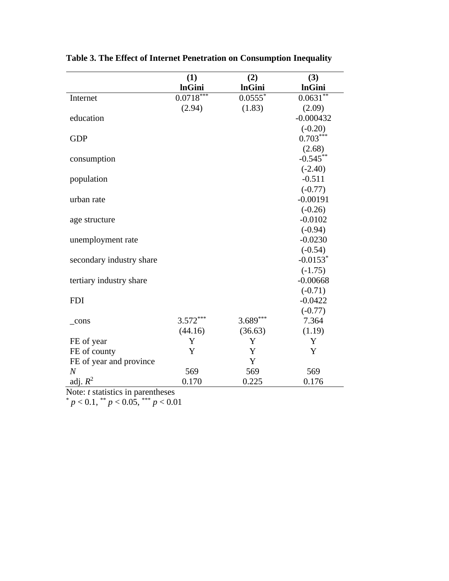|                          | (1)           | (2)           | (3)                      |
|--------------------------|---------------|---------------|--------------------------|
|                          | <b>InGini</b> | <b>InGini</b> | <b>InGini</b>            |
| Internet                 | $0.0718***$   | $0.0555*$     | $0.063\overline{1^{**}}$ |
|                          | (2.94)        | (1.83)        | (2.09)                   |
| education                |               |               | $-0.000432$              |
|                          |               |               | $(-0.20)$                |
| <b>GDP</b>               |               |               | $0.703***$               |
|                          |               |               | (2.68)                   |
| consumption              |               |               | $-0.545**$               |
|                          |               |               | $(-2.40)$                |
| population               |               |               | $-0.511$                 |
|                          |               |               | $(-0.77)$                |
| urban rate               |               |               | $-0.00191$               |
|                          |               |               | $(-0.26)$                |
| age structure            |               |               | $-0.0102$                |
|                          |               |               | $(-0.94)$                |
| unemployment rate        |               |               | $-0.0230$                |
|                          |               |               | $(-0.54)$                |
| secondary industry share |               |               | $-0.0153$ <sup>*</sup>   |
|                          |               |               | $(-1.75)$                |
| tertiary industry share  |               |               | $-0.00668$               |
|                          |               |               | $(-0.71)$                |
| <b>FDI</b>               |               |               | $-0.0422$                |
|                          |               |               | $(-0.77)$                |
| $_{cons}$                | $3.572***$    | $3.689***$    | 7.364                    |
|                          | (44.16)       | (36.63)       | (1.19)                   |
| FE of year               | Y             | Y             | Y                        |
| FE of county             | Y             | Y             | Y                        |
| FE of year and province  |               | Y             |                          |
| $\overline{N}$           | 569           | 569           | 569                      |
| adj. $R^2$               | 0.170         | 0.225         | 0.176                    |

**Table 3. The Effect of Internet Penetration on Consumption Inequality**

Note: *t* statistics in parentheses

 $p < 0.1$ ,  $p < 0.05$ ,  $p < 0.01$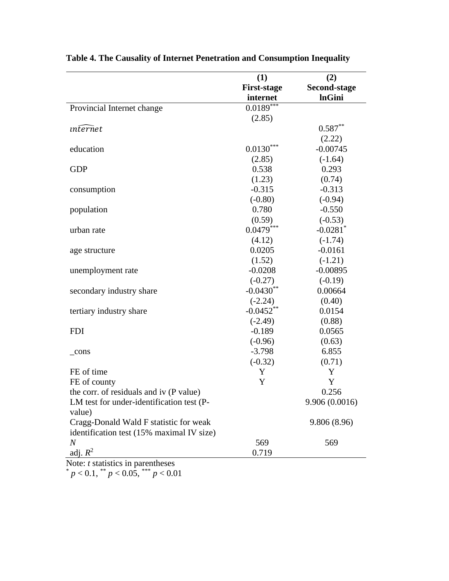|                                           | (1)                | (2)                    |
|-------------------------------------------|--------------------|------------------------|
|                                           | <b>First-stage</b> | <b>Second-stage</b>    |
|                                           | internet           | <b>InGini</b>          |
| Provincial Internet change                | $0.0189***$        |                        |
|                                           | (2.85)             |                        |
| <i>internet</i>                           |                    | $0.587**$              |
|                                           |                    | (2.22)                 |
| education                                 | $0.0130***$        | $-0.00745$             |
|                                           | (2.85)             | $(-1.64)$              |
| <b>GDP</b>                                | 0.538              | 0.293                  |
|                                           | (1.23)             | (0.74)                 |
| consumption                               | $-0.315$           | $-0.313$               |
|                                           | $(-0.80)$          | $(-0.94)$              |
| population                                | 0.780              | $-0.550$               |
|                                           | (0.59)             | $(-0.53)$              |
| urban rate                                | $0.0479***$        | $-0.0281$ <sup>*</sup> |
|                                           | (4.12)             | $(-1.74)$              |
| age structure                             | 0.0205             | $-0.0161$              |
|                                           | (1.52)             | $(-1.21)$              |
| unemployment rate                         | $-0.0208$          | $-0.00895$             |
|                                           | $(-0.27)$          | $(-0.19)$              |
| secondary industry share                  | $-0.0430**$        | 0.00664                |
|                                           | $(-2.24)$          | (0.40)                 |
| tertiary industry share                   | $-0.0452**$        | 0.0154                 |
|                                           | $(-2.49)$          | (0.88)                 |
| <b>FDI</b>                                | $-0.189$           | 0.0565                 |
|                                           | $(-0.96)$          | (0.63)                 |
| $_{\rm cons}$                             | $-3.798$           | 6.855                  |
|                                           | $(-0.32)$          | (0.71)                 |
| FE of time                                | Y                  | Y                      |
| FE of county                              | Y                  | Y                      |
| the corr. of residuals and iv (P value)   |                    | 0.256                  |
| LM test for under-identification test (P- |                    | 9.906 (0.0016)         |
| value)                                    |                    |                        |
| Cragg-Donald Wald F statistic for weak    |                    | 9.806 (8.96)           |
| identification test (15% maximal IV size) |                    |                        |
| $\it N$                                   | 569                | 569                    |
| adj. $R^2$                                | 0.719              |                        |

**Table 4. The Causality of Internet Penetration and Consumption Inequality**

Note: *t* statistics in parentheses

 $p < 0.1$ ,  $\binom{**}{p} < 0.05$ ,  $\binom{***}{p} < 0.01$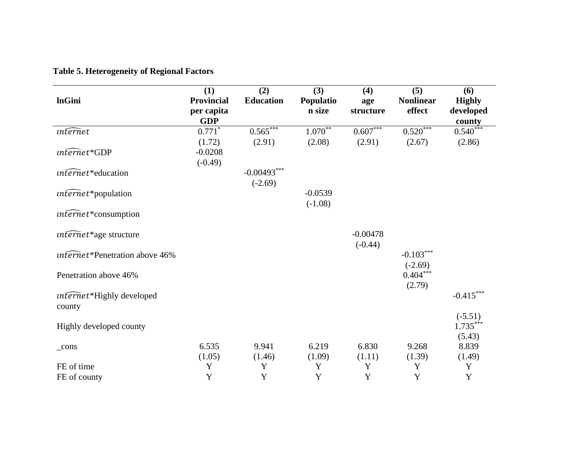## **Table 5. Heterogeneity of Regional Factors**

| <b>InGini</b>                       | (1)<br><b>Provincial</b><br>per capita | (2)<br><b>Education</b> | (3)<br>Populatio<br>n size | (4)<br>age<br>structure | (5)<br><b>Nonlinear</b><br>effect | (6)<br><b>Highly</b><br>developed |
|-------------------------------------|----------------------------------------|-------------------------|----------------------------|-------------------------|-----------------------------------|-----------------------------------|
|                                     | <b>GDP</b>                             |                         |                            |                         |                                   | county                            |
| <i>internet</i>                     | $0.771*$                               | $0.565***$              | $1.070***$                 | $0.607***$              | $0.520***$                        | $0.540***$                        |
|                                     | (1.72)                                 | (2.91)                  | (2.08)                     | (2.91)                  | (2.67)                            | (2.86)                            |
| $\widehat{\mathit{unfernet}}$ *GDP  | $-0.0208$                              |                         |                            |                         |                                   |                                   |
|                                     | $(-0.49)$                              |                         |                            |                         |                                   |                                   |
| $in \widehat{fernet}^*$ education   |                                        | $-0.00493***$           |                            |                         |                                   |                                   |
|                                     |                                        | $(-2.69)$               |                            |                         |                                   |                                   |
| $\widehat{unfernet}^*$ population   |                                        |                         | $-0.0539$                  |                         |                                   |                                   |
|                                     |                                        |                         | $(-1.08)$                  |                         |                                   |                                   |
| $inferred$ *consumption             |                                        |                         |                            |                         |                                   |                                   |
|                                     |                                        |                         |                            |                         |                                   |                                   |
|                                     |                                        |                         |                            | $-0.00478$              |                                   |                                   |
| $\widehat{internet}$ *age structure |                                        |                         |                            |                         |                                   |                                   |
|                                     |                                        |                         |                            | $(-0.44)$               |                                   |                                   |
| internet*Penetration above 46%      |                                        |                         |                            |                         | $-0.103***$                       |                                   |
|                                     |                                        |                         |                            |                         | $(-2.69)$                         |                                   |
| Penetration above 46%               |                                        |                         |                            |                         | $0.404***$                        |                                   |
|                                     |                                        |                         |                            |                         | (2.79)                            |                                   |
| internet*Highly developed           |                                        |                         |                            |                         |                                   | $-0.415***$                       |
| county                              |                                        |                         |                            |                         |                                   |                                   |
|                                     |                                        |                         |                            |                         |                                   | $(-5.51)$                         |
| Highly developed county             |                                        |                         |                            |                         |                                   | $1.735***$                        |
|                                     |                                        |                         |                            |                         |                                   | (5.43)                            |
| $_{\rm cons}$                       | 6.535                                  | 9.941                   | 6.219                      | 6.830                   | 9.268                             | 8.839                             |
|                                     | (1.05)                                 | (1.46)                  | (1.09)                     | (1.11)                  | (1.39)                            | (1.49)                            |
| FE of time                          | Y                                      | Y                       | Y                          | Y                       | Y                                 | Y                                 |
| FE of county                        | Y                                      | Y                       | $\mathbf Y$                | Y                       | Y                                 | $\mathbf Y$                       |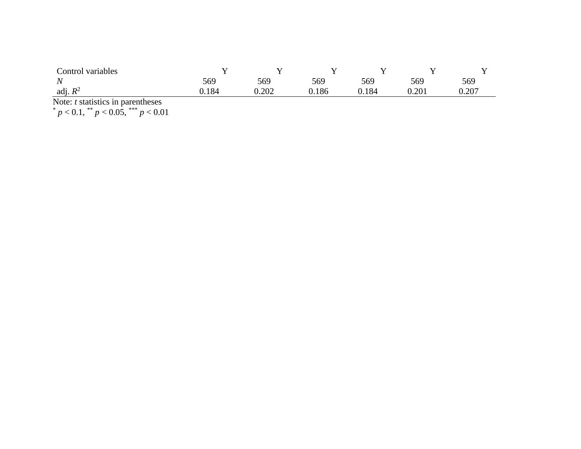| Control variables |       |       |       |     |           | - -   |
|-------------------|-------|-------|-------|-----|-----------|-------|
| N<br>. .          | 569   | 569   | 569   | 569 | 569       | 569   |
| adj. $R^2$        | ).184 | 0.202 | 0.186 | 184 | $0.201\,$ | 0.207 |
| __<br>.<br>$\sim$ |       |       |       |     |           |       |

Note: *t* statistics in parentheses

 $p < 0.1$ ,  $\binom{**}{p} < 0.05$ ,  $\binom{***}{p} < 0.01$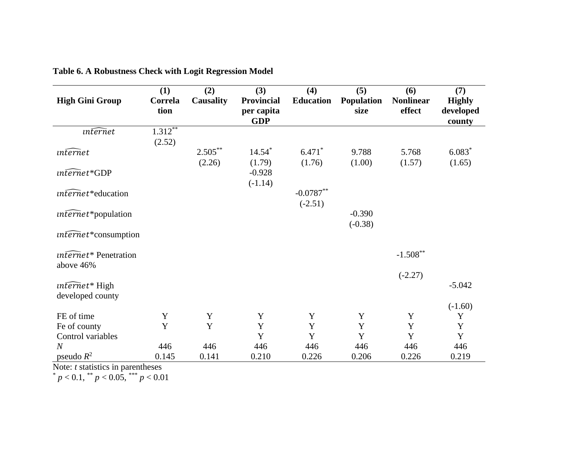| <b>High Gini Group</b>            | (1)<br>Correla<br>tion | (2)<br><b>Causality</b> | (3)<br><b>Provincial</b><br>per capita<br><b>GDP</b> | (4)<br><b>Education</b> | (5)<br>Population<br>size | (6)<br><b>Nonlinear</b><br>effect | (7)<br><b>Highly</b><br>developed<br>county |
|-----------------------------------|------------------------|-------------------------|------------------------------------------------------|-------------------------|---------------------------|-----------------------------------|---------------------------------------------|
| <i>internet</i>                   | $1.312$ <sup>**</sup>  |                         |                                                      |                         |                           |                                   |                                             |
|                                   | (2.52)                 |                         |                                                      |                         |                           |                                   |                                             |
| $in \widehat{ternet}$             |                        | $2.505***$              | $14.54*$                                             | $6.471*$                | 9.788                     | 5.768                             | $6.083*$                                    |
|                                   |                        | (2.26)                  | (1.79)                                               | (1.76)                  | (1.00)                    | (1.57)                            | (1.65)                                      |
| $\widehat{r}$ internet*GDP        |                        |                         | $-0.928$                                             |                         |                           |                                   |                                             |
|                                   |                        |                         | $(-1.14)$                                            |                         |                           |                                   |                                             |
| $\widehat{unfernet}^*$ education  |                        |                         |                                                      | $-0.0787**$             |                           |                                   |                                             |
|                                   |                        |                         |                                                      | $(-2.51)$               |                           |                                   |                                             |
| $\widehat{r}$ internet*population |                        |                         |                                                      |                         | $-0.390$                  |                                   |                                             |
|                                   |                        |                         |                                                      |                         | $(-0.38)$                 |                                   |                                             |
| $\widehat{internet}$ *consumption |                        |                         |                                                      |                         |                           |                                   |                                             |
| <i>unternet</i> * Penetration     |                        |                         |                                                      |                         |                           | $-1.508**$                        |                                             |
| above 46%                         |                        |                         |                                                      |                         |                           |                                   |                                             |
|                                   |                        |                         |                                                      |                         |                           | $(-2.27)$                         |                                             |
| $\widehat{n\text{t}ernet*}$ High  |                        |                         |                                                      |                         |                           |                                   | $-5.042$                                    |
| developed county                  |                        |                         |                                                      |                         |                           |                                   |                                             |
|                                   |                        |                         |                                                      |                         |                           |                                   | $(-1.60)$                                   |
| FE of time                        | Y                      | Y                       | $\mathbf Y$                                          | Y                       | Y                         | $\mathbf Y$                       | Y                                           |
| Fe of county                      | Y                      | Y                       | Y                                                    | $\mathbf Y$             | Y                         | Y                                 | $\mathbf Y$                                 |
| Control variables                 |                        |                         | Y                                                    | Y                       | Y                         | Y                                 | $\mathbf Y$                                 |
| $\overline{N}$                    | 446                    | 446                     | 446                                                  | 446                     | 446                       | 446                               | 446                                         |
| pseudo $R^2$                      | 0.145                  | 0.141                   | 0.210                                                | 0.226                   | 0.206                     | 0.226                             | 0.219                                       |

|  |  | Table 6. A Robustness Check with Logit Regression Model |
|--|--|---------------------------------------------------------|
|  |  |                                                         |

Note: *t* statistics in parentheses

 $p < 0.1$ ,  $p < 0.05$ ,  $p < 0.01$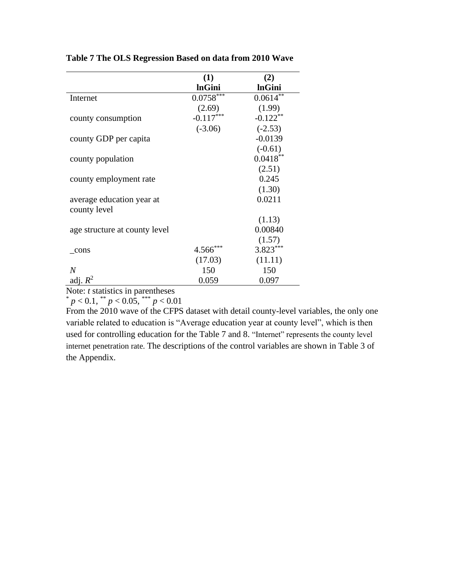|                               | (1)           | (2)           |
|-------------------------------|---------------|---------------|
|                               | <b>InGini</b> | <b>InGini</b> |
| Internet                      | $0.0758***$   | $0.0614***$   |
|                               | (2.69)        | (1.99)        |
| county consumption            | $-0.117***$   | $-0.122$ **   |
|                               | $(-3.06)$     | $(-2.53)$     |
| county GDP per capita         |               | $-0.0139$     |
|                               |               | $(-0.61)$     |
| county population             |               | $0.0418**$    |
|                               |               | (2.51)        |
| county employment rate        |               | 0.245         |
|                               |               | (1.30)        |
| average education year at     |               | 0.0211        |
| county level                  |               |               |
|                               |               | (1.13)        |
| age structure at county level |               | 0.00840       |
|                               |               | (1.57)        |
| cons                          | $4.566***$    | $3.823***$    |
|                               | (17.03)       | (11.11)       |
| $\overline{N}$                | 150           | 150           |
| adj. $R^2$                    | 0.059         | 0.097         |

**Table 7 The OLS Regression Based on data from 2010 Wave**

Note: *t* statistics in parentheses

 $p < 0.1$ ,  $p < 0.05$ ,  $p < 0.01$ 

From the 2010 wave of the CFPS dataset with detail county-level variables, the only one variable related to education is "Average education year at county level", which is then used for controlling education for the Table 7 and 8. "Internet" represents the county level internet penetration rate. The descriptions of the control variables are shown in Table 3 of the Appendix.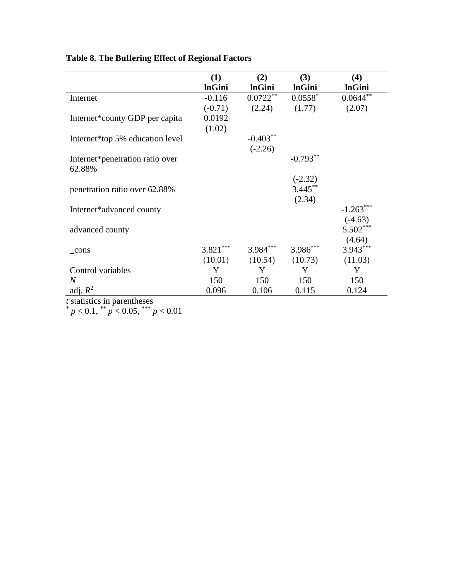|                                    | (1)           | (2)           | (3)           | (4)           |
|------------------------------------|---------------|---------------|---------------|---------------|
|                                    | <b>InGini</b> | <b>InGini</b> | <b>InGini</b> | <b>InGini</b> |
| Internet                           | $-0.116$      | $0.0722**$    | $0.0558*$     | $0.0644**$    |
|                                    | $(-0.71)$     | (2.24)        | (1.77)        | (2.07)        |
| Internet*county GDP per capita     | 0.0192        |               |               |               |
|                                    | (1.02)        |               |               |               |
| Internet*top 5% education level    |               | $-0.403**$    |               |               |
|                                    |               | $(-2.26)$     |               |               |
| Internet*penetration ratio over    |               |               | $-0.793**$    |               |
| 62.88%                             |               |               |               |               |
|                                    |               |               | $(-2.32)$     |               |
| penetration ratio over 62.88%      |               |               | $3.445***$    |               |
|                                    |               |               | (2.34)        |               |
| Internet*advanced county           |               |               |               | $-1.263***$   |
|                                    |               |               |               | $(-4.63)$     |
| advanced county                    |               |               |               | $5.502***$    |
|                                    |               |               |               | (4.64)        |
| cons                               | $3.821***$    | $3.984***$    | 3.986***      | $3.943***$    |
|                                    | (10.01)       | (10.54)       | (10.73)       | (11.03)       |
| Control variables                  | Y             | Y             | Y             | Y             |
| $\overline{N}$                     | 150           | 150           | 150           | 150           |
| adj. $R^2$                         | 0.096         | 0.106         | 0.115         | 0.124         |
| <i>t</i> statistics in parentheses |               |               |               |               |

## **Table 8. The Buffering Effect of Regional Factors**

 $p < 0.1$ ,  $\binom{4}{3}$  *p* < 0.05,  $\binom{4}{3}$  *p* < 0.01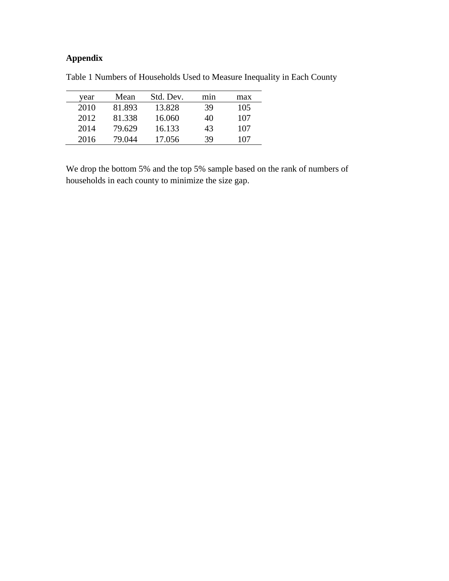#### **Appendix**

| vear | Mean   | Std. Dev. | mnn | max |
|------|--------|-----------|-----|-----|
| 2010 | 81.893 | 13.828    | 39  | 105 |
| 2012 | 81.338 | 16.060    | 40  | 107 |
| 2014 | 79.629 | 16.133    | 43  | 107 |
| 2016 | 79.044 | 17.056    | 39  | 107 |

Table 1 Numbers of Households Used to Measure Inequality in Each County

We drop the bottom 5% and the top 5% sample based on the rank of numbers of households in each county to minimize the size gap.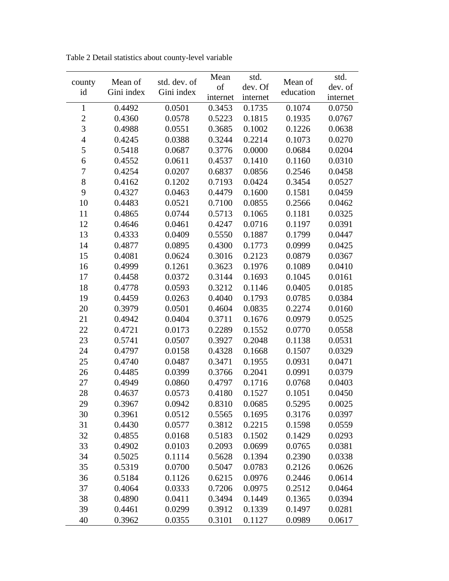| county         | Mean of<br>Gini index | std. dev. of<br>Gini index | Mean     | std.     | Mean of   | std.     |
|----------------|-----------------------|----------------------------|----------|----------|-----------|----------|
| id             |                       |                            | of       | dev. Of  | education | dev. of  |
|                |                       |                            | internet | internet |           | internet |
| $\mathbf{1}$   | 0.4492                | 0.0501                     | 0.3453   | 0.1735   | 0.1074    | 0.0750   |
| $\overline{c}$ | 0.4360                | 0.0578                     | 0.5223   | 0.1815   | 0.1935    | 0.0767   |
| 3              | 0.4988                | 0.0551                     | 0.3685   | 0.1002   | 0.1226    | 0.0638   |
| $\overline{4}$ | 0.4245                | 0.0388                     | 0.3244   | 0.2214   | 0.1073    | 0.0270   |
| 5              | 0.5418                | 0.0687                     | 0.3776   | 0.0000   | 0.0684    | 0.0204   |
| 6              | 0.4552                | 0.0611                     | 0.4537   | 0.1410   | 0.1160    | 0.0310   |
| $\overline{7}$ | 0.4254                | 0.0207                     | 0.6837   | 0.0856   | 0.2546    | 0.0458   |
| 8              | 0.4162                | 0.1202                     | 0.7193   | 0.0424   | 0.3454    | 0.0527   |
| 9              | 0.4327                | 0.0463                     | 0.4479   | 0.1600   | 0.1581    | 0.0459   |
| 10             | 0.4483                | 0.0521                     | 0.7100   | 0.0855   | 0.2566    | 0.0462   |
| 11             | 0.4865                | 0.0744                     | 0.5713   | 0.1065   | 0.1181    | 0.0325   |
| 12             | 0.4646                | 0.0461                     | 0.4247   | 0.0716   | 0.1197    | 0.0391   |
| 13             | 0.4333                | 0.0409                     | 0.5550   | 0.1887   | 0.1799    | 0.0447   |
| 14             | 0.4877                | 0.0895                     | 0.4300   | 0.1773   | 0.0999    | 0.0425   |
| 15             | 0.4081                | 0.0624                     | 0.3016   | 0.2123   | 0.0879    | 0.0367   |
| 16             | 0.4999                | 0.1261                     | 0.3623   | 0.1976   | 0.1089    | 0.0410   |
| 17             | 0.4458                | 0.0372                     | 0.3144   | 0.1693   | 0.1045    | 0.0161   |
| 18             | 0.4778                | 0.0593                     | 0.3212   | 0.1146   | 0.0405    | 0.0185   |
| 19             | 0.4459                | 0.0263                     | 0.4040   | 0.1793   | 0.0785    | 0.0384   |
| 20             | 0.3979                | 0.0501                     | 0.4604   | 0.0835   | 0.2274    | 0.0160   |
| 21             | 0.4942                | 0.0404                     | 0.3711   | 0.1676   | 0.0979    | 0.0525   |
| 22             | 0.4721                | 0.0173                     | 0.2289   | 0.1552   | 0.0770    | 0.0558   |
| 23             | 0.5741                | 0.0507                     | 0.3927   | 0.2048   | 0.1138    | 0.0531   |
| 24             | 0.4797                | 0.0158                     | 0.4328   | 0.1668   | 0.1507    | 0.0329   |
| 25             | 0.4740                | 0.0487                     | 0.3471   | 0.1955   | 0.0931    | 0.0471   |
| 26             | 0.4485                | 0.0399                     | 0.3766   | 0.2041   | 0.0991    | 0.0379   |
| 27             | 0.4949                | 0.0860                     | 0.4797   | 0.1716   | 0.0768    | 0.0403   |
| 28             | 0.4637                | 0.0573                     | 0.4180   | 0.1527   | 0.1051    | 0.0450   |
| 29             | 0.3967                | 0.0942                     | 0.8310   | 0.0685   | 0.5295    | 0.0025   |
| 30             | 0.3961                | 0.0512                     | 0.5565   | 0.1695   | 0.3176    | 0.0397   |
| 31             | 0.4430                | 0.0577                     | 0.3812   | 0.2215   | 0.1598    | 0.0559   |
| 32             | 0.4855                | 0.0168                     | 0.5183   | 0.1502   | 0.1429    | 0.0293   |
| 33             | 0.4902                | 0.0103                     | 0.2093   | 0.0699   | 0.0765    | 0.0381   |
| 34             | 0.5025                | 0.1114                     | 0.5628   | 0.1394   | 0.2390    | 0.0338   |
| 35             | 0.5319                | 0.0700                     | 0.5047   | 0.0783   | 0.2126    | 0.0626   |
| 36             | 0.5184                | 0.1126                     | 0.6215   | 0.0976   | 0.2446    | 0.0614   |
| 37             | 0.4064                | 0.0333                     | 0.7206   | 0.0975   | 0.2512    | 0.0464   |
| 38             | 0.4890                | 0.0411                     | 0.3494   | 0.1449   | 0.1365    | 0.0394   |
| 39             | 0.4461                | 0.0299                     | 0.3912   | 0.1339   | 0.1497    | 0.0281   |
| 40             | 0.3962                | 0.0355                     | 0.3101   | 0.1127   | 0.0989    | 0.0617   |

Table 2 Detail statistics about county-level variable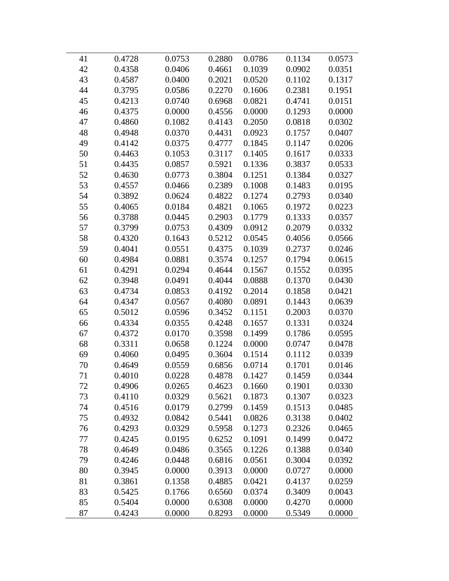| 41 | 0.4728 | 0.0753 | 0.2880 | 0.0786 | 0.1134 | 0.0573 |
|----|--------|--------|--------|--------|--------|--------|
| 42 | 0.4358 | 0.0406 | 0.4661 | 0.1039 | 0.0902 | 0.0351 |
| 43 | 0.4587 | 0.0400 | 0.2021 | 0.0520 | 0.1102 | 0.1317 |
| 44 | 0.3795 | 0.0586 | 0.2270 | 0.1606 | 0.2381 | 0.1951 |
| 45 | 0.4213 | 0.0740 | 0.6968 | 0.0821 | 0.4741 | 0.0151 |
| 46 | 0.4375 | 0.0000 | 0.4556 | 0.0000 | 0.1293 | 0.0000 |
| 47 | 0.4860 | 0.1082 | 0.4143 | 0.2050 | 0.0818 | 0.0302 |
| 48 | 0.4948 | 0.0370 | 0.4431 | 0.0923 | 0.1757 | 0.0407 |
| 49 | 0.4142 | 0.0375 | 0.4777 | 0.1845 | 0.1147 | 0.0206 |
| 50 | 0.4463 | 0.1053 | 0.3117 | 0.1405 | 0.1617 | 0.0333 |
| 51 | 0.4435 | 0.0857 | 0.5921 | 0.1336 | 0.3837 | 0.0533 |
| 52 | 0.4630 | 0.0773 | 0.3804 | 0.1251 | 0.1384 | 0.0327 |
| 53 | 0.4557 | 0.0466 | 0.2389 | 0.1008 | 0.1483 | 0.0195 |
| 54 | 0.3892 | 0.0624 | 0.4822 | 0.1274 | 0.2793 | 0.0340 |
| 55 | 0.4065 | 0.0184 | 0.4821 | 0.1065 | 0.1972 | 0.0223 |
| 56 | 0.3788 | 0.0445 | 0.2903 | 0.1779 | 0.1333 | 0.0357 |
| 57 | 0.3799 | 0.0753 | 0.4309 | 0.0912 | 0.2079 | 0.0332 |
| 58 | 0.4320 | 0.1643 | 0.5212 | 0.0545 | 0.4056 | 0.0566 |
| 59 | 0.4041 | 0.0551 | 0.4375 | 0.1039 | 0.2737 | 0.0246 |
| 60 | 0.4984 | 0.0881 | 0.3574 | 0.1257 | 0.1794 | 0.0615 |
| 61 | 0.4291 | 0.0294 | 0.4644 | 0.1567 | 0.1552 | 0.0395 |
| 62 | 0.3948 | 0.0491 | 0.4044 | 0.0888 | 0.1370 | 0.0430 |
| 63 | 0.4734 | 0.0853 | 0.4192 | 0.2014 | 0.1858 | 0.0421 |
| 64 | 0.4347 | 0.0567 | 0.4080 | 0.0891 | 0.1443 | 0.0639 |
| 65 | 0.5012 | 0.0596 | 0.3452 | 0.1151 | 0.2003 | 0.0370 |
| 66 | 0.4334 | 0.0355 | 0.4248 | 0.1657 | 0.1331 | 0.0324 |
| 67 | 0.4372 | 0.0170 | 0.3598 | 0.1499 | 0.1786 | 0.0595 |
| 68 | 0.3311 | 0.0658 | 0.1224 | 0.0000 | 0.0747 | 0.0478 |
| 69 | 0.4060 | 0.0495 | 0.3604 | 0.1514 | 0.1112 | 0.0339 |
| 70 | 0.4649 | 0.0559 | 0.6856 | 0.0714 | 0.1701 | 0.0146 |
| 71 | 0.4010 | 0.0228 | 0.4878 | 0.1427 | 0.1459 | 0.0344 |
| 72 | 0.4906 | 0.0265 | 0.4623 | 0.1660 | 0.1901 | 0.0330 |
| 73 | 0.4110 | 0.0329 | 0.5621 | 0.1873 | 0.1307 | 0.0323 |
| 74 | 0.4516 | 0.0179 | 0.2799 | 0.1459 | 0.1513 | 0.0485 |
| 75 | 0.4932 | 0.0842 | 0.5441 | 0.0826 | 0.3138 | 0.0402 |
| 76 | 0.4293 | 0.0329 | 0.5958 | 0.1273 | 0.2326 | 0.0465 |
| 77 | 0.4245 | 0.0195 | 0.6252 | 0.1091 | 0.1499 | 0.0472 |
| 78 | 0.4649 | 0.0486 | 0.3565 | 0.1226 | 0.1388 | 0.0340 |
| 79 | 0.4246 | 0.0448 | 0.6816 | 0.0561 | 0.3004 | 0.0392 |
| 80 | 0.3945 | 0.0000 | 0.3913 | 0.0000 | 0.0727 | 0.0000 |
| 81 | 0.3861 | 0.1358 | 0.4885 | 0.0421 | 0.4137 | 0.0259 |
| 83 | 0.5425 | 0.1766 | 0.6560 | 0.0374 | 0.3409 | 0.0043 |
| 85 | 0.5404 | 0.0000 | 0.6308 | 0.0000 | 0.4270 | 0.0000 |
| 87 | 0.4243 | 0.0000 | 0.8293 | 0.0000 | 0.5349 | 0.0000 |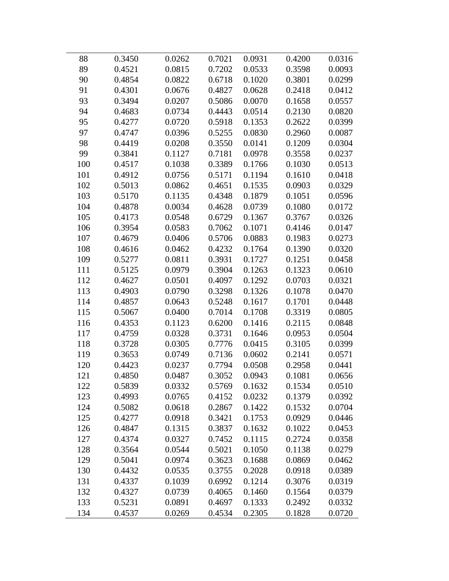| 88  | 0.3450 | 0.0262 | 0.7021 | 0.0931 | 0.4200 | 0.0316 |
|-----|--------|--------|--------|--------|--------|--------|
| 89  | 0.4521 | 0.0815 | 0.7202 | 0.0533 | 0.3598 | 0.0093 |
| 90  | 0.4854 | 0.0822 | 0.6718 | 0.1020 | 0.3801 | 0.0299 |
| 91  | 0.4301 | 0.0676 | 0.4827 | 0.0628 | 0.2418 | 0.0412 |
| 93  | 0.3494 | 0.0207 | 0.5086 | 0.0070 | 0.1658 | 0.0557 |
| 94  | 0.4683 | 0.0734 | 0.4443 | 0.0514 | 0.2130 | 0.0820 |
| 95  | 0.4277 | 0.0720 | 0.5918 | 0.1353 | 0.2622 | 0.0399 |
| 97  | 0.4747 | 0.0396 | 0.5255 | 0.0830 | 0.2960 | 0.0087 |
| 98  | 0.4419 | 0.0208 | 0.3550 | 0.0141 | 0.1209 | 0.0304 |
| 99  | 0.3841 | 0.1127 | 0.7181 | 0.0978 | 0.3558 | 0.0237 |
| 100 | 0.4517 | 0.1038 | 0.3389 | 0.1766 | 0.1030 | 0.0513 |
| 101 | 0.4912 | 0.0756 | 0.5171 | 0.1194 | 0.1610 | 0.0418 |
| 102 | 0.5013 | 0.0862 | 0.4651 | 0.1535 | 0.0903 | 0.0329 |
| 103 | 0.5170 | 0.1135 | 0.4348 | 0.1879 | 0.1051 | 0.0596 |
| 104 | 0.4878 | 0.0034 | 0.4628 | 0.0739 | 0.1080 | 0.0172 |
| 105 | 0.4173 | 0.0548 | 0.6729 | 0.1367 | 0.3767 | 0.0326 |
| 106 | 0.3954 | 0.0583 | 0.7062 | 0.1071 | 0.4146 | 0.0147 |
| 107 | 0.4679 | 0.0406 | 0.5706 | 0.0883 | 0.1983 | 0.0273 |
| 108 | 0.4616 | 0.0462 | 0.4232 | 0.1764 | 0.1390 | 0.0320 |
| 109 | 0.5277 | 0.0811 | 0.3931 | 0.1727 | 0.1251 | 0.0458 |
| 111 | 0.5125 | 0.0979 | 0.3904 | 0.1263 | 0.1323 | 0.0610 |
| 112 | 0.4627 | 0.0501 | 0.4097 | 0.1292 | 0.0703 | 0.0321 |
| 113 | 0.4903 | 0.0790 | 0.3298 | 0.1326 | 0.1078 | 0.0470 |
| 114 | 0.4857 | 0.0643 | 0.5248 | 0.1617 | 0.1701 | 0.0448 |
| 115 | 0.5067 | 0.0400 | 0.7014 | 0.1708 | 0.3319 | 0.0805 |
| 116 | 0.4353 | 0.1123 | 0.6200 | 0.1416 | 0.2115 | 0.0848 |
| 117 | 0.4759 | 0.0328 | 0.3731 | 0.1646 | 0.0953 | 0.0504 |
| 118 | 0.3728 | 0.0305 | 0.7776 | 0.0415 | 0.3105 | 0.0399 |
| 119 | 0.3653 | 0.0749 | 0.7136 | 0.0602 | 0.2141 | 0.0571 |
| 120 | 0.4423 | 0.0237 | 0.7794 | 0.0508 | 0.2958 | 0.0441 |
| 121 | 0.4850 | 0.0487 | 0.3052 | 0.0943 | 0.1081 | 0.0656 |
| 122 | 0.5839 | 0.0332 | 0.5769 | 0.1632 | 0.1534 | 0.0510 |
| 123 | 0.4993 | 0.0765 | 0.4152 | 0.0232 | 0.1379 | 0.0392 |
| 124 | 0.5082 | 0.0618 | 0.2867 | 0.1422 | 0.1532 | 0.0704 |
| 125 | 0.4277 | 0.0918 | 0.3421 | 0.1753 | 0.0929 | 0.0446 |
| 126 | 0.4847 | 0.1315 | 0.3837 | 0.1632 | 0.1022 | 0.0453 |
| 127 | 0.4374 | 0.0327 | 0.7452 | 0.1115 | 0.2724 | 0.0358 |
| 128 | 0.3564 | 0.0544 | 0.5021 | 0.1050 | 0.1138 | 0.0279 |
| 129 | 0.5041 | 0.0974 | 0.3623 | 0.1688 | 0.0869 | 0.0462 |
| 130 | 0.4432 | 0.0535 | 0.3755 | 0.2028 | 0.0918 | 0.0389 |
| 131 | 0.4337 | 0.1039 | 0.6992 | 0.1214 | 0.3076 | 0.0319 |
| 132 | 0.4327 | 0.0739 | 0.4065 | 0.1460 | 0.1564 | 0.0379 |
| 133 | 0.5231 | 0.0891 | 0.4697 | 0.1333 | 0.2492 | 0.0332 |
| 134 | 0.4537 | 0.0269 | 0.4534 | 0.2305 | 0.1828 | 0.0720 |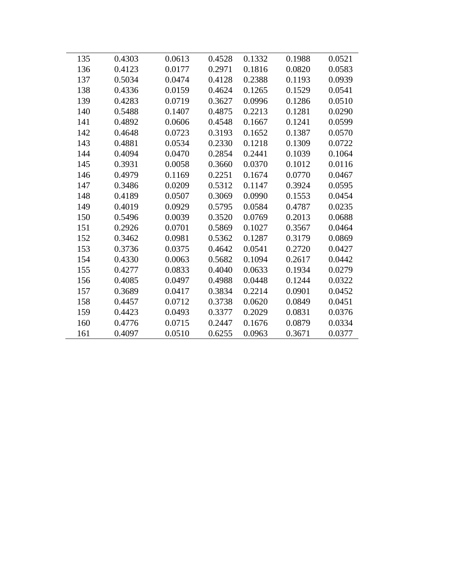| 135 | 0.4303 | 0.0613 | 0.4528 | 0.1332 | 0.1988 | 0.0521 |
|-----|--------|--------|--------|--------|--------|--------|
| 136 | 0.4123 | 0.0177 | 0.2971 | 0.1816 | 0.0820 | 0.0583 |
| 137 | 0.5034 | 0.0474 | 0.4128 | 0.2388 | 0.1193 | 0.0939 |
| 138 | 0.4336 | 0.0159 | 0.4624 | 0.1265 | 0.1529 | 0.0541 |
| 139 | 0.4283 | 0.0719 | 0.3627 | 0.0996 | 0.1286 | 0.0510 |
| 140 | 0.5488 | 0.1407 | 0.4875 | 0.2213 | 0.1281 | 0.0290 |
| 141 | 0.4892 | 0.0606 | 0.4548 | 0.1667 | 0.1241 | 0.0599 |
| 142 | 0.4648 | 0.0723 | 0.3193 | 0.1652 | 0.1387 | 0.0570 |
| 143 | 0.4881 | 0.0534 | 0.2330 | 0.1218 | 0.1309 | 0.0722 |
| 144 | 0.4094 | 0.0470 | 0.2854 | 0.2441 | 0.1039 | 0.1064 |
| 145 | 0.3931 | 0.0058 | 0.3660 | 0.0370 | 0.1012 | 0.0116 |
| 146 | 0.4979 | 0.1169 | 0.2251 | 0.1674 | 0.0770 | 0.0467 |
| 147 | 0.3486 | 0.0209 | 0.5312 | 0.1147 | 0.3924 | 0.0595 |
| 148 | 0.4189 | 0.0507 | 0.3069 | 0.0990 | 0.1553 | 0.0454 |
| 149 | 0.4019 | 0.0929 | 0.5795 | 0.0584 | 0.4787 | 0.0235 |
| 150 | 0.5496 | 0.0039 | 0.3520 | 0.0769 | 0.2013 | 0.0688 |
| 151 | 0.2926 | 0.0701 | 0.5869 | 0.1027 | 0.3567 | 0.0464 |
| 152 | 0.3462 | 0.0981 | 0.5362 | 0.1287 | 0.3179 | 0.0869 |
| 153 | 0.3736 | 0.0375 | 0.4642 | 0.0541 | 0.2720 | 0.0427 |
| 154 | 0.4330 | 0.0063 | 0.5682 | 0.1094 | 0.2617 | 0.0442 |
| 155 | 0.4277 | 0.0833 | 0.4040 | 0.0633 | 0.1934 | 0.0279 |
| 156 | 0.4085 | 0.0497 | 0.4988 | 0.0448 | 0.1244 | 0.0322 |
| 157 | 0.3689 | 0.0417 | 0.3834 | 0.2214 | 0.0901 | 0.0452 |
| 158 | 0.4457 | 0.0712 | 0.3738 | 0.0620 | 0.0849 | 0.0451 |
| 159 | 0.4423 | 0.0493 | 0.3377 | 0.2029 | 0.0831 | 0.0376 |
| 160 | 0.4776 | 0.0715 | 0.2447 | 0.1676 | 0.0879 | 0.0334 |
| 161 | 0.4097 | 0.0510 | 0.6255 | 0.0963 | 0.3671 | 0.0377 |
|     |        |        |        |        |        |        |